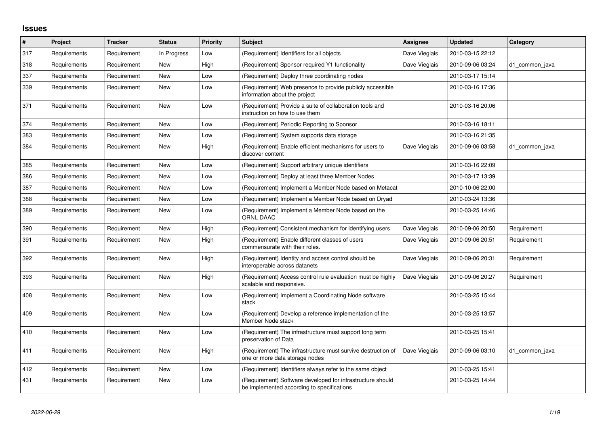## **Issues**

| $\vert$ # | Project      | <b>Tracker</b> | <b>Status</b> | <b>Priority</b> | Subject                                                                                                  | <b>Assignee</b> | <b>Updated</b>   | Category       |
|-----------|--------------|----------------|---------------|-----------------|----------------------------------------------------------------------------------------------------------|-----------------|------------------|----------------|
| 317       | Requirements | Requirement    | In Progress   | Low             | (Requirement) Identifiers for all objects                                                                | Dave Vieglais   | 2010-03-15 22:12 |                |
| 318       | Requirements | Requirement    | <b>New</b>    | High            | (Requirement) Sponsor required Y1 functionality                                                          | Dave Vieglais   | 2010-09-06 03:24 | d1_common_java |
| 337       | Requirements | Requirement    | New           | Low             | (Requirement) Deploy three coordinating nodes                                                            |                 | 2010-03-17 15:14 |                |
| 339       | Requirements | Requirement    | New           | Low             | (Requirement) Web presence to provide publicly accessible<br>information about the project               |                 | 2010-03-16 17:36 |                |
| 371       | Requirements | Requirement    | New           | Low             | (Requirement) Provide a suite of collaboration tools and<br>instruction on how to use them               |                 | 2010-03-16 20:06 |                |
| 374       | Requirements | Requirement    | New           | Low             | (Requirement) Periodic Reporting to Sponsor                                                              |                 | 2010-03-16 18:11 |                |
| 383       | Requirements | Requirement    | New           | Low             | (Requirement) System supports data storage                                                               |                 | 2010-03-16 21:35 |                |
| 384       | Requirements | Requirement    | <b>New</b>    | High            | (Requirement) Enable efficient mechanisms for users to<br>discover content                               | Dave Vieglais   | 2010-09-06 03:58 | d1_common_java |
| 385       | Requirements | Requirement    | New           | Low             | (Requirement) Support arbitrary unique identifiers                                                       |                 | 2010-03-16 22:09 |                |
| 386       | Requirements | Requirement    | New           | Low             | (Requirement) Deploy at least three Member Nodes                                                         |                 | 2010-03-17 13:39 |                |
| 387       | Requirements | Requirement    | <b>New</b>    | Low             | (Requirement) Implement a Member Node based on Metacat                                                   |                 | 2010-10-06 22:00 |                |
| 388       | Requirements | Requirement    | <b>New</b>    | Low             | (Requirement) Implement a Member Node based on Dryad                                                     |                 | 2010-03-24 13:36 |                |
| 389       | Requirements | Requirement    | New           | Low             | (Requirement) Implement a Member Node based on the<br><b>ORNL DAAC</b>                                   |                 | 2010-03-25 14:46 |                |
| 390       | Requirements | Requirement    | New           | High            | (Requirement) Consistent mechanism for identifying users                                                 | Dave Vieglais   | 2010-09-06 20:50 | Requirement    |
| 391       | Requirements | Requirement    | New           | High            | (Requirement) Enable different classes of users<br>commensurate with their roles.                        | Dave Vieglais   | 2010-09-06 20:51 | Requirement    |
| 392       | Requirements | Requirement    | <b>New</b>    | High            | (Requirement) Identity and access control should be<br>interoperable across datanets                     | Dave Vieglais   | 2010-09-06 20:31 | Requirement    |
| 393       | Requirements | Requirement    | New           | High            | (Requirement) Access control rule evaluation must be highly<br>scalable and responsive.                  | Dave Vieglais   | 2010-09-06 20:27 | Requirement    |
| 408       | Requirements | Requirement    | New           | Low             | (Requirement) Implement a Coordinating Node software<br>stack                                            |                 | 2010-03-25 15:44 |                |
| 409       | Requirements | Requirement    | New           | Low             | (Requirement) Develop a reference implementation of the<br>Member Node stack                             |                 | 2010-03-25 13:57 |                |
| 410       | Requirements | Requirement    | New           | Low             | (Requirement) The infrastructure must support long term<br>preservation of Data                          |                 | 2010-03-25 15:41 |                |
| 411       | Requirements | Requirement    | New           | High            | (Requirement) The infrastructure must survive destruction of<br>one or more data storage nodes           | Dave Vieglais   | 2010-09-06 03:10 | d1 common java |
| 412       | Requirements | Requirement    | New           | Low             | (Requirement) Identifiers always refer to the same object                                                |                 | 2010-03-25 15:41 |                |
| 431       | Requirements | Requirement    | New           | Low             | (Requirement) Software developed for infrastructure should<br>be implemented according to specifications |                 | 2010-03-25 14:44 |                |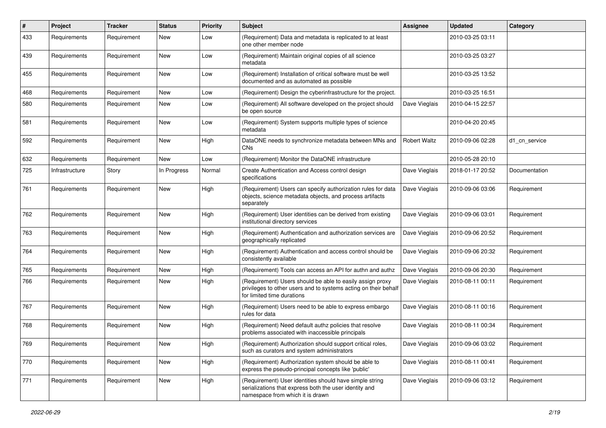| $\#$ | <b>Project</b> | <b>Tracker</b> | <b>Status</b> | <b>Priority</b> | <b>Subject</b>                                                                                                                                             | <b>Assignee</b>     | <b>Updated</b>   | Category      |
|------|----------------|----------------|---------------|-----------------|------------------------------------------------------------------------------------------------------------------------------------------------------------|---------------------|------------------|---------------|
| 433  | Requirements   | Requirement    | New           | Low             | (Requirement) Data and metadata is replicated to at least<br>one other member node                                                                         |                     | 2010-03-25 03:11 |               |
| 439  | Requirements   | Requirement    | <b>New</b>    | Low             | (Requirement) Maintain original copies of all science<br>metadata                                                                                          |                     | 2010-03-25 03:27 |               |
| 455  | Requirements   | Requirement    | New           | Low             | (Requirement) Installation of critical software must be well<br>documented and as automated as possible                                                    |                     | 2010-03-25 13:52 |               |
| 468  | Requirements   | Requirement    | <b>New</b>    | Low             | (Requirement) Design the cyberinfrastructure for the project.                                                                                              |                     | 2010-03-25 16:51 |               |
| 580  | Requirements   | Requirement    | New           | Low             | (Requirement) All software developed on the project should<br>be open source                                                                               | Dave Vieglais       | 2010-04-15 22:57 |               |
| 581  | Requirements   | Requirement    | <b>New</b>    | Low             | (Requirement) System supports multiple types of science<br>metadata                                                                                        |                     | 2010-04-20 20:45 |               |
| 592  | Requirements   | Requirement    | New           | High            | DataONE needs to synchronize metadata between MNs and<br>CNs                                                                                               | <b>Robert Waltz</b> | 2010-09-06 02:28 | d1 cn service |
| 632  | Requirements   | Requirement    | <b>New</b>    | Low             | (Requirement) Monitor the DataONE infrastructure                                                                                                           |                     | 2010-05-28 20:10 |               |
| 725  | Infrastructure | Story          | In Progress   | Normal          | Create Authentication and Access control design<br>specifications                                                                                          | Dave Vieglais       | 2018-01-17 20:52 | Documentation |
| 761  | Requirements   | Requirement    | <b>New</b>    | High            | (Requirement) Users can specify authorization rules for data<br>objects, science metadata objects, and process artifacts<br>separately                     | Dave Vieglais       | 2010-09-06 03:06 | Requirement   |
| 762  | Requirements   | Requirement    | New           | High            | (Requirement) User identities can be derived from existing<br>institutional directory services                                                             | Dave Vieglais       | 2010-09-06 03:01 | Requirement   |
| 763  | Requirements   | Requirement    | New           | High            | (Requirement) Authentication and authorization services are<br>geographically replicated                                                                   | Dave Vieglais       | 2010-09-06 20:52 | Requirement   |
| 764  | Requirements   | Requirement    | <b>New</b>    | High            | (Requirement) Authentication and access control should be<br>consistently available                                                                        | Dave Vieglais       | 2010-09-06 20:32 | Requirement   |
| 765  | Requirements   | Requirement    | New           | High            | (Requirement) Tools can access an API for authn and authz                                                                                                  | Dave Vieglais       | 2010-09-06 20:30 | Requirement   |
| 766  | Requirements   | Requirement    | <b>New</b>    | High            | (Requirement) Users should be able to easily assign proxy<br>privileges to other users and to systems acting on their behalf<br>for limited time durations | Dave Vieglais       | 2010-08-11 00:11 | Requirement   |
| 767  | Requirements   | Requirement    | <b>New</b>    | High            | (Requirement) Users need to be able to express embargo<br>rules for data                                                                                   | Dave Vieglais       | 2010-08-11 00:16 | Requirement   |
| 768  | Requirements   | Requirement    | <b>New</b>    | High            | (Requirement) Need default authz policies that resolve<br>problems associated with inaccessible principals                                                 | Dave Vieglais       | 2010-08-11 00:34 | Requirement   |
| 769  | Requirements   | Requirement    | New           | High            | (Requirement) Authorization should support critical roles,<br>such as curators and system administrators                                                   | Dave Vieglais       | 2010-09-06 03:02 | Requirement   |
| 770  | Requirements   | Requirement    | New           | High            | (Requirement) Authorization system should be able to<br>express the pseudo-principal concepts like 'public'                                                | Dave Vieglais       | 2010-08-11 00:41 | Requirement   |
| 771  | Requirements   | Requirement    | New           | High            | (Requirement) User identities should have simple string<br>serializations that express both the user identity and<br>namespace from which it is drawn      | Dave Vieglais       | 2010-09-06 03:12 | Requirement   |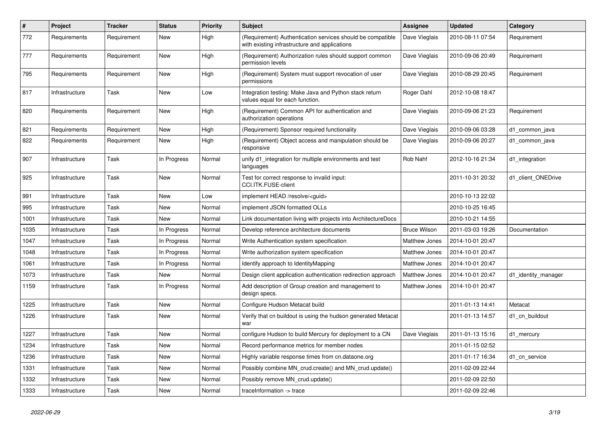| $\vert$ # | Project        | Tracker     | <b>Status</b> | <b>Priority</b> | <b>Subject</b>                                                                                              | <b>Assignee</b>      | <b>Updated</b>   | Category            |
|-----------|----------------|-------------|---------------|-----------------|-------------------------------------------------------------------------------------------------------------|----------------------|------------------|---------------------|
| 772       | Requirements   | Requirement | <b>New</b>    | High            | (Requirement) Authentication services should be compatible<br>with existing infrastructure and applications | Dave Vieglais        | 2010-08-11 07:54 | Requirement         |
| 777       | Requirements   | Requirement | <b>New</b>    | High            | (Requirement) Authorization rules should support common<br>permission levels                                | Dave Vieglais        | 2010-09-06 20:49 | Requirement         |
| 795       | Requirements   | Requirement | <b>New</b>    | High            | (Requirement) System must support revocation of user<br>permissions                                         | Dave Vieglais        | 2010-08-29 20:45 | Requirement         |
| 817       | Infrastructure | Task        | <b>New</b>    | Low             | Integration testing: Make Java and Python stack return<br>values equal for each function.                   | Roger Dahl           | 2012-10-08 18:47 |                     |
| 820       | Requirements   | Requirement | <b>New</b>    | High            | (Requirement) Common API for authentication and<br>authorization operations                                 | Dave Vieglais        | 2010-09-06 21:23 | Requirement         |
| 821       | Requirements   | Requirement | <b>New</b>    | High            | (Requirement) Sponsor required functionality                                                                | Dave Vieglais        | 2010-09-06 03:28 | d1 common java      |
| 822       | Requirements   | Requirement | New           | High            | (Requirement) Object access and manipulation should be<br>responsive                                        | Dave Vieglais        | 2010-09-06 20:27 | d1 common java      |
| 907       | Infrastructure | Task        | In Progress   | Normal          | unify d1 integration for multiple environments and test<br>languages                                        | Rob Nahf             | 2012-10-16 21:34 | d1 integration      |
| 925       | Infrastructure | Task        | <b>New</b>    | Normal          | Test for correct response to invalid input:<br>CCI.ITK.FUSE-client                                          |                      | 2011-10-31 20:32 | d1_client_ONEDrive  |
| 991       | Infrastructure | Task        | New           | Low             | implement HEAD /resolve/ <guid></guid>                                                                      |                      | 2010-10-13 22:02 |                     |
| 995       | Infrastructure | Task        | New           | Normal          | implement JSON formatted OLLs                                                                               |                      | 2010-10-25 16:45 |                     |
| 1001      | Infrastructure | Task        | <b>New</b>    | Normal          | Link documentation living with projects into ArchitectureDocs                                               |                      | 2010-10-21 14:55 |                     |
| 1035      | Infrastructure | Task        | In Progress   | Normal          | Develop reference architecture documents                                                                    | <b>Bruce Wilson</b>  | 2011-03-03 19:26 | Documentation       |
| 1047      | Infrastructure | Task        | In Progress   | Normal          | Write Authentication system specification                                                                   | Matthew Jones        | 2014-10-01 20:47 |                     |
| 1048      | Infrastructure | Task        | In Progress   | Normal          | Write authorization system specification                                                                    | Matthew Jones        | 2014-10-01 20:47 |                     |
| 1061      | Infrastructure | Task        | In Progress   | Normal          | Identify approach to IdentityMapping                                                                        | Matthew Jones        | 2014-10-01 20:47 |                     |
| 1073      | Infrastructure | Task        | New           | Normal          | Design client application authentication redirection approach                                               | <b>Matthew Jones</b> | 2014-10-01 20:47 | d1_identity_manager |
| 1159      | Infrastructure | Task        | In Progress   | Normal          | Add description of Group creation and management to<br>design specs.                                        | <b>Matthew Jones</b> | 2014-10-01 20:47 |                     |
| 1225      | Infrastructure | Task        | <b>New</b>    | Normal          | Configure Hudson Metacat build                                                                              |                      | 2011-01-13 14:41 | Metacat             |
| 1226      | Infrastructure | Task        | <b>New</b>    | Normal          | Verify that cn buildout is using the hudson generated Metacat<br>war                                        |                      | 2011-01-13 14:57 | d1 cn buildout      |
| 1227      | Infrastructure | Task        | <b>New</b>    | Normal          | configure Hudson to build Mercury for deployment to a CN                                                    | Dave Vieglais        | 2011-01-13 15:16 | d1_mercury          |
| 1234      | Infrastructure | Task        | <b>New</b>    | Normal          | Record performance metrics for member nodes                                                                 |                      | 2011-01-15 02:52 |                     |
| 1236      | Infrastructure | Task        | <b>New</b>    | Normal          | Highly variable response times from cn.dataone.org                                                          |                      | 2011-01-17 16:34 | d1_cn_service       |
| 1331      | Infrastructure | Task        | <b>New</b>    | Normal          | Possibly combine MN crud.create() and MN crud.update()                                                      |                      | 2011-02-09 22:44 |                     |
| 1332      | Infrastructure | Task        | <b>New</b>    | Normal          | Possibly remove MN_crud.update()                                                                            |                      | 2011-02-09 22:50 |                     |
| 1333      | Infrastructure | Task        | <b>New</b>    | Normal          | traceInformation -> trace                                                                                   |                      | 2011-02-09 22:46 |                     |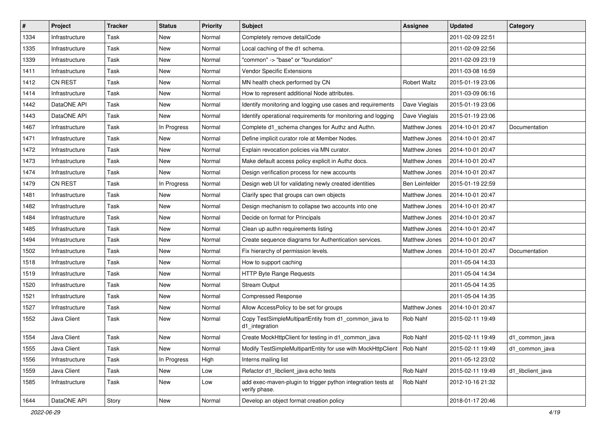| #    | Project        | <b>Tracker</b> | <b>Status</b> | <b>Priority</b> | Subject                                                                       | Assignee            | <b>Updated</b>   | Category          |
|------|----------------|----------------|---------------|-----------------|-------------------------------------------------------------------------------|---------------------|------------------|-------------------|
| 1334 | Infrastructure | Task           | New           | Normal          | Completely remove detailCode                                                  |                     | 2011-02-09 22:51 |                   |
| 1335 | Infrastructure | Task           | New           | Normal          | Local caching of the d1 schema.                                               |                     | 2011-02-09 22:56 |                   |
| 1339 | Infrastructure | Task           | New           | Normal          | "common" -> "base" or "foundation"                                            |                     | 2011-02-09 23:19 |                   |
| 1411 | Infrastructure | Task           | New           | Normal          | <b>Vendor Specific Extensions</b>                                             |                     | 2011-03-08 16:59 |                   |
| 1412 | <b>CN REST</b> | Task           | New           | Normal          | MN health check performed by CN                                               | <b>Robert Waltz</b> | 2015-01-19 23:06 |                   |
| 1414 | Infrastructure | Task           | New           | Normal          | How to represent additional Node attributes.                                  |                     | 2011-03-09 06:16 |                   |
| 1442 | DataONE API    | Task           | <b>New</b>    | Normal          | Identify monitoring and logging use cases and requirements                    | Dave Vieglais       | 2015-01-19 23:06 |                   |
| 1443 | DataONE API    | Task           | New           | Normal          | Identify operational requirements for monitoring and logging                  | Dave Vieglais       | 2015-01-19 23:06 |                   |
| 1467 | Infrastructure | Task           | In Progress   | Normal          | Complete d1_schema changes for Authz and Authn.                               | Matthew Jones       | 2014-10-01 20:47 | Documentation     |
| 1471 | Infrastructure | Task           | New           | Normal          | Define implicit curator role at Member Nodes.                                 | Matthew Jones       | 2014-10-01 20:47 |                   |
| 1472 | Infrastructure | Task           | New           | Normal          | Explain revocation policies via MN curator.                                   | Matthew Jones       | 2014-10-01 20:47 |                   |
| 1473 | Infrastructure | Task           | New           | Normal          | Make default access policy explicit in Authz docs.                            | Matthew Jones       | 2014-10-01 20:47 |                   |
| 1474 | Infrastructure | Task           | New           | Normal          | Design verification process for new accounts                                  | Matthew Jones       | 2014-10-01 20:47 |                   |
| 1479 | <b>CN REST</b> | Task           | In Progress   | Normal          | Design web UI for validating newly created identities                         | Ben Leinfelder      | 2015-01-19 22:59 |                   |
| 1481 | Infrastructure | Task           | <b>New</b>    | Normal          | Clarify spec that groups can own objects                                      | Matthew Jones       | 2014-10-01 20:47 |                   |
| 1482 | Infrastructure | Task           | New           | Normal          | Design mechanism to collapse two accounts into one                            | Matthew Jones       | 2014-10-01 20:47 |                   |
| 1484 | Infrastructure | Task           | New           | Normal          | Decide on format for Principals                                               | Matthew Jones       | 2014-10-01 20:47 |                   |
| 1485 | Infrastructure | Task           | New           | Normal          | Clean up authn requirements listing                                           | Matthew Jones       | 2014-10-01 20:47 |                   |
| 1494 | Infrastructure | Task           | New           | Normal          | Create sequence diagrams for Authentication services.                         | Matthew Jones       | 2014-10-01 20:47 |                   |
| 1502 | Infrastructure | Task           | <b>New</b>    | Normal          | Fix hierarchy of permission levels.                                           | Matthew Jones       | 2014-10-01 20:47 | Documentation     |
| 1518 | Infrastructure | Task           | New           | Normal          | How to support caching                                                        |                     | 2011-05-04 14:33 |                   |
| 1519 | Infrastructure | Task           | New           | Normal          | HTTP Byte Range Requests                                                      |                     | 2011-05-04 14:34 |                   |
| 1520 | Infrastructure | Task           | New           | Normal          | <b>Stream Output</b>                                                          |                     | 2011-05-04 14:35 |                   |
| 1521 | Infrastructure | Task           | New           | Normal          | <b>Compressed Response</b>                                                    |                     | 2011-05-04 14:35 |                   |
| 1527 | Infrastructure | Task           | New           | Normal          | Allow AccessPolicy to be set for groups                                       | Matthew Jones       | 2014-10-01 20:47 |                   |
| 1552 | Java Client    | Task           | New           | Normal          | Copy TestSimpleMultipartEntity from d1_common_java to<br>d1_integration       | Rob Nahf            | 2015-02-11 19:49 |                   |
| 1554 | Java Client    | Task           | New           | Normal          | Create MockHttpClient for testing in d1_common_java                           | Rob Nahf            | 2015-02-11 19:49 | d1_common_java    |
| 1555 | Java Client    | Task           | New           | Normal          | Modify TestSimpleMultipartEntity for use with MockHttpClient                  | Rob Nahf            | 2015-02-11 19:49 | d1_common_java    |
| 1556 | Infrastructure | Task           | In Progress   | High            | Interns mailing list                                                          |                     | 2011-05-12 23:02 |                   |
| 1559 | Java Client    | Task           | New           | Low             | Refactor d1_libclient_java echo tests                                         | Rob Nahf            | 2015-02-11 19:49 | d1 libclient java |
| 1585 | Infrastructure | Task           | New           | Low             | add exec-maven-plugin to trigger python integration tests at<br>verify phase. | Rob Nahf            | 2012-10-16 21:32 |                   |
| 1644 | DataONE API    | Story          | New           | Normal          | Develop an object format creation policy                                      |                     | 2018-01-17 20:46 |                   |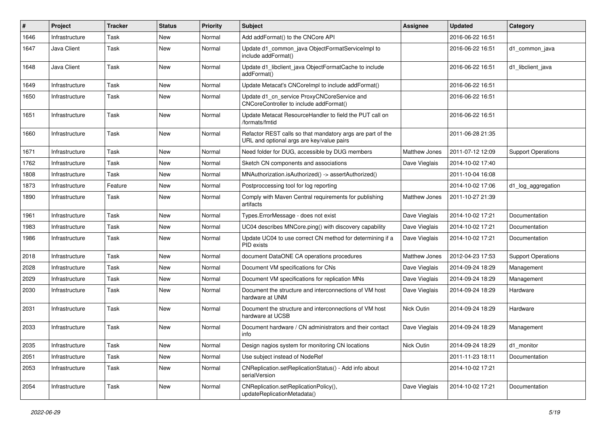| #    | Project        | <b>Tracker</b> | <b>Status</b> | <b>Priority</b> | <b>Subject</b>                                                                                          | <b>Assignee</b>      | <b>Updated</b>   | Category                  |
|------|----------------|----------------|---------------|-----------------|---------------------------------------------------------------------------------------------------------|----------------------|------------------|---------------------------|
| 1646 | Infrastructure | Task           | <b>New</b>    | Normal          | Add addFormat() to the CNCore API                                                                       |                      | 2016-06-22 16:51 |                           |
| 1647 | Java Client    | Task           | <b>New</b>    | Normal          | Update d1_common_java ObjectFormatServiceImpl to<br>include addFormat()                                 |                      | 2016-06-22 16:51 | d1 common java            |
| 1648 | Java Client    | Task           | New           | Normal          | Update d1_libclient_java ObjectFormatCache to include<br>addFormat()                                    |                      | 2016-06-22 16:51 | d1 libclient java         |
| 1649 | Infrastructure | Task           | New           | Normal          | Update Metacat's CNCorelmpl to include addFormat()                                                      |                      | 2016-06-22 16:51 |                           |
| 1650 | Infrastructure | Task           | <b>New</b>    | Normal          | Update d1_cn_service ProxyCNCoreService and<br>CNCoreController to include addFormat()                  |                      | 2016-06-22 16:51 |                           |
| 1651 | Infrastructure | Task           | <b>New</b>    | Normal          | Update Metacat ResourceHandler to field the PUT call on<br>/formats/fmtid                               |                      | 2016-06-22 16:51 |                           |
| 1660 | Infrastructure | Task           | <b>New</b>    | Normal          | Refactor REST calls so that mandatory args are part of the<br>URL and optional args are key/value pairs |                      | 2011-06-28 21:35 |                           |
| 1671 | Infrastructure | Task           | <b>New</b>    | Normal          | Need folder for DUG, accessible by DUG members                                                          | Matthew Jones        | 2011-07-12 12:09 | <b>Support Operations</b> |
| 1762 | Infrastructure | Task           | New           | Normal          | Sketch CN components and associations                                                                   | Dave Vieglais        | 2014-10-02 17:40 |                           |
| 1808 | Infrastructure | Task           | <b>New</b>    | Normal          | MNAuthorization.isAuthorized() -> assertAuthorized()                                                    |                      | 2011-10-04 16:08 |                           |
| 1873 | Infrastructure | Feature        | New           | Normal          | Postproccessing tool for log reporting                                                                  |                      | 2014-10-02 17:06 | d1_log_aggregation        |
| 1890 | Infrastructure | Task           | New           | Normal          | Comply with Maven Central requirements for publishing<br>artifacts                                      | <b>Matthew Jones</b> | 2011-10-27 21:39 |                           |
| 1961 | Infrastructure | Task           | <b>New</b>    | Normal          | Types.ErrorMessage - does not exist                                                                     | Dave Vieglais        | 2014-10-02 17:21 | Documentation             |
| 1983 | Infrastructure | Task           | New           | Normal          | UC04 describes MNCore.ping() with discovery capability                                                  | Dave Vieglais        | 2014-10-02 17:21 | Documentation             |
| 1986 | Infrastructure | Task           | New           | Normal          | Update UC04 to use correct CN method for determining if a<br>PID exists                                 | Dave Vieglais        | 2014-10-02 17:21 | Documentation             |
| 2018 | Infrastructure | Task           | <b>New</b>    | Normal          | document DataONE CA operations procedures                                                               | Matthew Jones        | 2012-04-23 17:53 | <b>Support Operations</b> |
| 2028 | Infrastructure | Task           | New           | Normal          | Document VM specifications for CNs                                                                      | Dave Vieglais        | 2014-09-24 18:29 | Management                |
| 2029 | Infrastructure | Task           | New           | Normal          | Document VM specifications for replication MNs                                                          | Dave Vieglais        | 2014-09-24 18:29 | Management                |
| 2030 | Infrastructure | Task           | New           | Normal          | Document the structure and interconnections of VM host<br>hardware at UNM                               | Dave Vieglais        | 2014-09-24 18:29 | Hardware                  |
| 2031 | Infrastructure | Task           | New           | Normal          | Document the structure and interconnections of VM host<br>hardware at UCSB                              | Nick Outin           | 2014-09-24 18:29 | Hardware                  |
| 2033 | Infrastructure | Task           | <b>New</b>    | Normal          | Document hardware / CN administrators and their contact<br>info                                         | Dave Vieglais        | 2014-09-24 18:29 | Management                |
| 2035 | Infrastructure | Task           | New           | Normal          | Design nagios system for monitoring CN locations                                                        | Nick Outin           | 2014-09-24 18:29 | d1 monitor                |
| 2051 | Infrastructure | Task           | New           | Normal          | Use subject instead of NodeRef                                                                          |                      | 2011-11-23 18:11 | Documentation             |
| 2053 | Infrastructure | Task           | New           | Normal          | CNReplication.setReplicationStatus() - Add info about<br>serialVersion                                  |                      | 2014-10-02 17:21 |                           |
| 2054 | Infrastructure | Task           | New           | Normal          | CNReplication.setReplicationPolicy(),<br>updateReplicationMetadata()                                    | Dave Vieglais        | 2014-10-02 17:21 | Documentation             |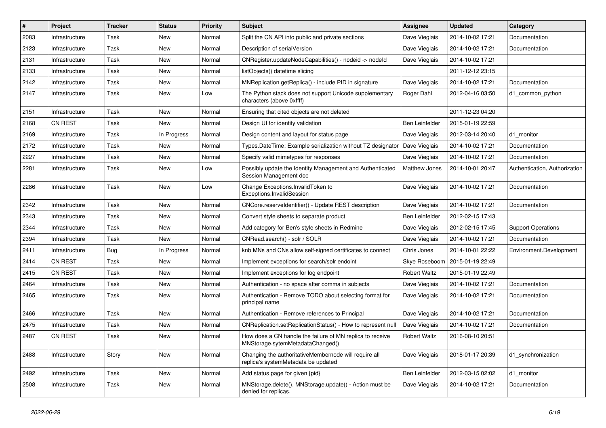| #    | Project        | <b>Tracker</b> | <b>Status</b> | <b>Priority</b> | <b>Subject</b>                                                                                | Assignee            | <b>Updated</b>   | Category                      |
|------|----------------|----------------|---------------|-----------------|-----------------------------------------------------------------------------------------------|---------------------|------------------|-------------------------------|
| 2083 | Infrastructure | Task           | New           | Normal          | Split the CN API into public and private sections                                             | Dave Vieglais       | 2014-10-02 17:21 | Documentation                 |
| 2123 | Infrastructure | Task           | <b>New</b>    | Normal          | Description of serialVersion                                                                  | Dave Vieglais       | 2014-10-02 17:21 | Documentation                 |
| 2131 | Infrastructure | Task           | New           | Normal          | CNRegister.updateNodeCapabilities() - nodeid -> nodeld                                        | Dave Vieglais       | 2014-10-02 17:21 |                               |
| 2133 | Infrastructure | Task           | New           | Normal          | listObjects() datetime slicing                                                                |                     | 2011-12-12 23:15 |                               |
| 2142 | Infrastructure | Task           | New           | Normal          | MNReplication.getReplica() - include PID in signature                                         | Dave Vieglais       | 2014-10-02 17:21 | Documentation                 |
| 2147 | Infrastructure | Task           | New           | Low             | The Python stack does not support Unicode supplementary<br>characters (above 0xffff)          | Roger Dahl          | 2012-04-16 03:50 | d1 common python              |
| 2151 | Infrastructure | Task           | New           | Normal          | Ensuring that cited objects are not deleted                                                   |                     | 2011-12-23 04:20 |                               |
| 2168 | <b>CN REST</b> | Task           | New           | Normal          | Design UI for identity validation                                                             | Ben Leinfelder      | 2015-01-19 22:59 |                               |
| 2169 | Infrastructure | Task           | In Progress   | Normal          | Design content and layout for status page                                                     | Dave Vieglais       | 2012-03-14 20:40 | d1 monitor                    |
| 2172 | Infrastructure | Task           | New           | Normal          | Types.DateTime: Example serialization without TZ designator                                   | Dave Vieglais       | 2014-10-02 17:21 | Documentation                 |
| 2227 | Infrastructure | Task           | New           | Normal          | Specify valid mimetypes for responses                                                         | Dave Vieglais       | 2014-10-02 17:21 | Documentation                 |
| 2281 | Infrastructure | Task           | New           | Low             | Possibly update the Identity Management and Authenticated<br>Session Management doc           | Matthew Jones       | 2014-10-01 20:47 | Authentication, Authorization |
| 2286 | Infrastructure | Task           | New           | Low             | Change Exceptions. Invalid Token to<br>Exceptions.InvalidSession                              | Dave Vieglais       | 2014-10-02 17:21 | Documentation                 |
| 2342 | Infrastructure | Task           | <b>New</b>    | Normal          | CNCore.reserveldentifier() - Update REST description                                          | Dave Vieglais       | 2014-10-02 17:21 | Documentation                 |
| 2343 | Infrastructure | Task           | New           | Normal          | Convert style sheets to separate product                                                      | Ben Leinfelder      | 2012-02-15 17:43 |                               |
| 2344 | Infrastructure | Task           | New           | Normal          | Add category for Ben's style sheets in Redmine                                                | Dave Vieglais       | 2012-02-15 17:45 | <b>Support Operations</b>     |
| 2394 | Infrastructure | Task           | New           | Normal          | CNRead.search() - solr / SOLR                                                                 | Dave Vieglais       | 2014-10-02 17:21 | Documentation                 |
| 2411 | Infrastructure | Bug            | In Progress   | Normal          | knb MNs and CNs allow self-signed certificates to connect                                     | Chris Jones         | 2014-10-01 22:22 | Environment.Development       |
| 2414 | <b>CN REST</b> | Task           | New           | Normal          | Implement exceptions for search/solr endoint                                                  | Skye Roseboom       | 2015-01-19 22:49 |                               |
| 2415 | CN REST        | Task           | New           | Normal          | Implement exceptions for log endpoint                                                         | <b>Robert Waltz</b> | 2015-01-19 22:49 |                               |
| 2464 | Infrastructure | Task           | New           | Normal          | Authentication - no space after comma in subjects                                             | Dave Vieglais       | 2014-10-02 17:21 | Documentation                 |
| 2465 | Infrastructure | Task           | New           | Normal          | Authentication - Remove TODO about selecting format for<br>principal name                     | Dave Vieglais       | 2014-10-02 17:21 | Documentation                 |
| 2466 | Infrastructure | Task           | New           | Normal          | Authentication - Remove references to Principal                                               | Dave Vieglais       | 2014-10-02 17:21 | Documentation                 |
| 2475 | Infrastructure | Task           | New           | Normal          | CNReplication.setReplicationStatus() - How to represent null                                  | Dave Vieglais       | 2014-10-02 17:21 | Documentation                 |
| 2487 | <b>CN REST</b> | Task           | New           | Normal          | How does a CN handle the failure of MN replica to receive<br>MNStorage.sytemMetadataChanged() | <b>Robert Waltz</b> | 2016-08-10 20:51 |                               |
| 2488 | Infrastructure | Story          | New           | Normal          | Changing the authoritativeMembernode will require all<br>replica's systemMetadata be updated  | Dave Vieglais       | 2018-01-17 20:39 | d1 synchronization            |
| 2492 | Infrastructure | Task           | New           | Normal          | Add status page for given {pid}                                                               | Ben Leinfelder      | 2012-03-15 02:02 | d1_monitor                    |
| 2508 | Infrastructure | Task           | New           | Normal          | MNStorage.delete(), MNStorage.update() - Action must be<br>denied for replicas.               | Dave Vieglais       | 2014-10-02 17:21 | Documentation                 |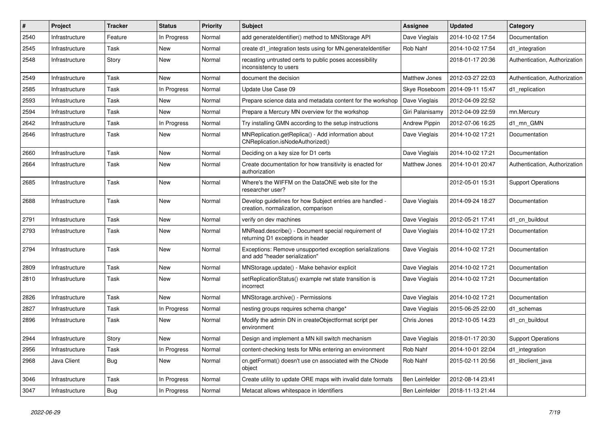| #    | Project        | <b>Tracker</b> | <b>Status</b> | <b>Priority</b> | <b>Subject</b>                                                                                  | <b>Assignee</b>      | Updated          | Category                      |
|------|----------------|----------------|---------------|-----------------|-------------------------------------------------------------------------------------------------|----------------------|------------------|-------------------------------|
| 2540 | Infrastructure | Feature        | In Progress   | Normal          | add generateldentifier() method to MNStorage API                                                | Dave Vieglais        | 2014-10-02 17:54 | Documentation                 |
| 2545 | Infrastructure | Task           | New           | Normal          | create d1_integration tests using for MN generateldentifier                                     | Rob Nahf             | 2014-10-02 17:54 | d1_integration                |
| 2548 | Infrastructure | Story          | <b>New</b>    | Normal          | recasting untrusted certs to public poses accessibility<br>inconsistency to users               |                      | 2018-01-17 20:36 | Authentication, Authorization |
| 2549 | Infrastructure | Task           | <b>New</b>    | Normal          | document the decision                                                                           | Matthew Jones        | 2012-03-27 22:03 | Authentication, Authorization |
| 2585 | Infrastructure | Task           | In Progress   | Normal          | Update Use Case 09                                                                              | Skye Roseboom        | 2014-09-11 15:47 | d1 replication                |
| 2593 | Infrastructure | Task           | New           | Normal          | Prepare science data and metadata content for the workshop                                      | Dave Vieglais        | 2012-04-09 22:52 |                               |
| 2594 | Infrastructure | Task           | <b>New</b>    | Normal          | Prepare a Mercury MN overview for the workshop                                                  | Giri Palanisamy      | 2012-04-09 22:59 | mn.Mercury                    |
| 2642 | Infrastructure | Task           | In Progress   | Normal          | Try installing GMN according to the setup instructions                                          | <b>Andrew Pippin</b> | 2012-07-06 16:25 | d1 mn GMN                     |
| 2646 | Infrastructure | Task           | <b>New</b>    | Normal          | MNReplication.getReplica() - Add information about<br>CNReplication.isNodeAuthorized()          | Dave Vieglais        | 2014-10-02 17:21 | Documentation                 |
| 2660 | Infrastructure | Task           | <b>New</b>    | Normal          | Deciding on a key size for D1 certs                                                             | Dave Vieglais        | 2014-10-02 17:21 | Documentation                 |
| 2664 | Infrastructure | Task           | New           | Normal          | Create documentation for how transitivity is enacted for<br>authorization                       | Matthew Jones        | 2014-10-01 20:47 | Authentication, Authorization |
| 2685 | Infrastructure | Task           | <b>New</b>    | Normal          | Where's the WIFFM on the DataONE web site for the<br>researcher user?                           |                      | 2012-05-01 15:31 | <b>Support Operations</b>     |
| 2688 | Infrastructure | Task           | New           | Normal          | Develop guidelines for how Subject entries are handled -<br>creation, normalization, comparison | Dave Vieglais        | 2014-09-24 18:27 | Documentation                 |
| 2791 | Infrastructure | Task           | New           | Normal          | verify on dev machines                                                                          | Dave Vieglais        | 2012-05-21 17:41 | d1 cn buildout                |
| 2793 | Infrastructure | Task           | <b>New</b>    | Normal          | MNRead.describe() - Document special requirement of<br>returning D1 exceptions in header        | Dave Vieglais        | 2014-10-02 17:21 | Documentation                 |
| 2794 | Infrastructure | Task           | <b>New</b>    | Normal          | Exceptions: Remove unsupported exception serializations<br>and add "header serialization"       | Dave Vieglais        | 2014-10-02 17:21 | Documentation                 |
| 2809 | Infrastructure | Task           | <b>New</b>    | Normal          | MNStorage.update() - Make behavior explicit                                                     | Dave Vieglais        | 2014-10-02 17:21 | Documentation                 |
| 2810 | Infrastructure | Task           | <b>New</b>    | Normal          | setReplicationStatus() example rwt state transition is<br>incorrect                             | Dave Vieglais        | 2014-10-02 17:21 | Documentation                 |
| 2826 | Infrastructure | Task           | <b>New</b>    | Normal          | MNStorage.archive() - Permissions                                                               | Dave Vieglais        | 2014-10-02 17:21 | Documentation                 |
| 2827 | Infrastructure | Task           | In Progress   | Normal          | nesting groups requires schema change*                                                          | Dave Vieglais        | 2015-06-25 22:00 | d1 schemas                    |
| 2896 | Infrastructure | Task           | New           | Normal          | Modify the admin DN in createObjectformat script per<br>environment                             | Chris Jones          | 2012-10-05 14:23 | d1 cn buildout                |
| 2944 | Infrastructure | Story          | New           | Normal          | Design and implement a MN kill switch mechanism                                                 | Dave Vieglais        | 2018-01-17 20:30 | <b>Support Operations</b>     |
| 2956 | Infrastructure | Task           | In Progress   | Normal          | content-checking tests for MNs entering an environment                                          | Rob Nahf             | 2014-10-01 22:04 | d1 integration                |
| 2968 | Java Client    | <b>Bug</b>     | New           | Normal          | cn.getFormat() doesn't use cn associated with the CNode<br>object                               | Rob Nahf             | 2015-02-11 20:56 | d1 libclient java             |
| 3046 | Infrastructure | Task           | In Progress   | Normal          | Create utility to update ORE maps with invalid date formats                                     | Ben Leinfelder       | 2012-08-14 23:41 |                               |
| 3047 | Infrastructure | <b>Bug</b>     | In Progress   | Normal          | Metacat allows whitespace in Identifiers                                                        | Ben Leinfelder       | 2018-11-13 21:44 |                               |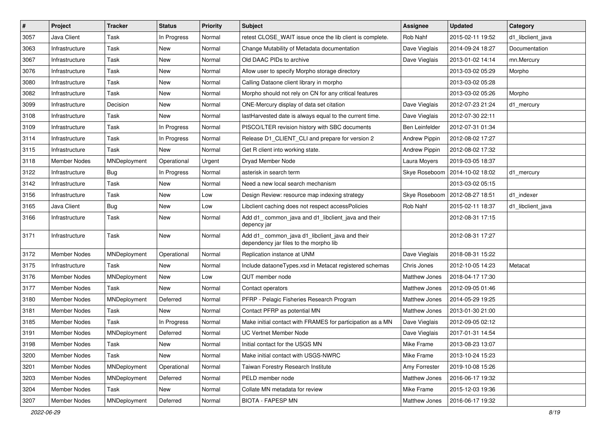| $\vert$ # | Project             | <b>Tracker</b> | <b>Status</b> | <b>Priority</b> | <b>Subject</b>                                                                           | Assignee       | <b>Updated</b>   | Category          |
|-----------|---------------------|----------------|---------------|-----------------|------------------------------------------------------------------------------------------|----------------|------------------|-------------------|
| 3057      | Java Client         | Task           | In Progress   | Normal          | retest CLOSE WAIT issue once the lib client is complete.                                 | Rob Nahf       | 2015-02-11 19:52 | d1 libclient java |
| 3063      | Infrastructure      | Task           | <b>New</b>    | Normal          | Change Mutability of Metadata documentation                                              | Dave Vieglais  | 2014-09-24 18:27 | Documentation     |
| 3067      | Infrastructure      | Task           | New           | Normal          | Old DAAC PIDs to archive                                                                 | Dave Vieglais  | 2013-01-02 14:14 | mn.Mercury        |
| 3076      | Infrastructure      | Task           | New           | Normal          | Allow user to specify Morpho storage directory                                           |                | 2013-03-02 05:29 | Morpho            |
| 3080      | Infrastructure      | Task           | <b>New</b>    | Normal          | Calling Dataone client library in morpho                                                 |                | 2013-03-02 05:28 |                   |
| 3082      | Infrastructure      | Task           | New           | Normal          | Morpho should not rely on CN for any critical features                                   |                | 2013-03-02 05:26 | Morpho            |
| 3099      | Infrastructure      | Decision       | New           | Normal          | ONE-Mercury display of data set citation                                                 | Dave Vieglais  | 2012-07-23 21:24 | d1 mercury        |
| 3108      | Infrastructure      | Task           | New           | Normal          | lastHarvested date is always equal to the current time.                                  | Dave Vieglais  | 2012-07-30 22:11 |                   |
| 3109      | Infrastructure      | Task           | In Progress   | Normal          | PISCO/LTER revision history with SBC documents                                           | Ben Leinfelder | 2012-07-31 01:34 |                   |
| 3114      | Infrastructure      | Task           | In Progress   | Normal          | Release D1_CLIENT_CLI and prepare for version 2                                          | Andrew Pippin  | 2012-08-02 17:27 |                   |
| 3115      | Infrastructure      | Task           | New           | Normal          | Get R client into working state.                                                         | Andrew Pippin  | 2012-08-02 17:32 |                   |
| 3118      | Member Nodes        | MNDeployment   | Operational   | Urgent          | Dryad Member Node                                                                        | Laura Moyers   | 2019-03-05 18:37 |                   |
| 3122      | Infrastructure      | Bug            | In Progress   | Normal          | asterisk in search term                                                                  | Skye Roseboom  | 2014-10-02 18:02 | d1_mercury        |
| 3142      | Infrastructure      | Task           | New           | Normal          | Need a new local search mechanism                                                        |                | 2013-03-02 05:15 |                   |
| 3156      | Infrastructure      | Task           | New           | Low             | Design Review: resource map indexing strategy                                            | Skye Roseboom  | 2012-08-27 18:51 | d1_indexer        |
| 3165      | Java Client         | Bug            | New           | Low             | Libclient caching does not respect accessPolicies                                        | Rob Nahf       | 2015-02-11 18:37 | d1_libclient_java |
| 3166      | Infrastructure      | Task           | New           | Normal          | Add d1_common_java and d1_libclient_java and their<br>depency jar                        |                | 2012-08-31 17:15 |                   |
| 3171      | Infrastructure      | Task           | New           | Normal          | Add d1_common_java d1_libclient_java and their<br>dependency jar files to the morpho lib |                | 2012-08-31 17:27 |                   |
| 3172      | <b>Member Nodes</b> | MNDeployment   | Operational   | Normal          | Replication instance at UNM                                                              | Dave Vieglais  | 2018-08-31 15:22 |                   |
| 3175      | Infrastructure      | Task           | New           | Normal          | Include dataoneTypes.xsd in Metacat registered schemas                                   | Chris Jones    | 2012-10-05 14:23 | Metacat           |
| 3176      | <b>Member Nodes</b> | MNDeployment   | New           | Low             | QUT member node                                                                          | Matthew Jones  | 2018-04-17 17:30 |                   |
| 3177      | Member Nodes        | Task           | New           | Normal          | Contact operators                                                                        | Matthew Jones  | 2012-09-05 01:46 |                   |
| 3180      | Member Nodes        | MNDeployment   | Deferred      | Normal          | PFRP - Pelagic Fisheries Research Program                                                | Matthew Jones  | 2014-05-29 19:25 |                   |
| 3181      | Member Nodes        | Task           | <b>New</b>    | Normal          | Contact PFRP as potential MN                                                             | Matthew Jones  | 2013-01-30 21:00 |                   |
| 3185      | <b>Member Nodes</b> | Task           | In Progress   | Normal          | Make initial contact with FRAMES for participation as a MN                               | Dave Vieglais  | 2012-09-05 02:12 |                   |
| 3191      | Member Nodes        | MNDeployment   | Deferred      | Normal          | <b>UC Vertnet Member Node</b>                                                            | Dave Vieglais  | 2017-01-31 14:54 |                   |
| 3198      | <b>Member Nodes</b> | Task           | New           | Normal          | Initial contact for the USGS MN                                                          | Mike Frame     | 2013-08-23 13:07 |                   |
| 3200      | Member Nodes        | Task           | New           | Normal          | Make initial contact with USGS-NWRC                                                      | Mike Frame     | 2013-10-24 15:23 |                   |
| 3201      | Member Nodes        | MNDeployment   | Operational   | Normal          | Taiwan Forestry Research Institute                                                       | Amy Forrester  | 2019-10-08 15:26 |                   |
| 3203      | Member Nodes        | MNDeployment   | Deferred      | Normal          | PELD member node                                                                         | Matthew Jones  | 2016-06-17 19:32 |                   |
| 3204      | <b>Member Nodes</b> | Task           | New           | Normal          | Collate MN metadata for review                                                           | Mike Frame     | 2015-12-03 19:36 |                   |
| 3207      | <b>Member Nodes</b> | MNDeployment   | Deferred      | Normal          | <b>BIOTA - FAPESP MN</b>                                                                 | Matthew Jones  | 2016-06-17 19:32 |                   |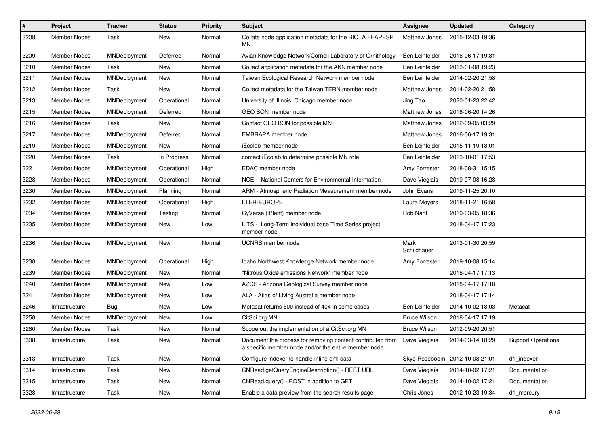| #    | Project             | <b>Tracker</b> | <b>Status</b> | <b>Priority</b> | Subject                                                                                                            | Assignee              | <b>Updated</b>   | Category                  |
|------|---------------------|----------------|---------------|-----------------|--------------------------------------------------------------------------------------------------------------------|-----------------------|------------------|---------------------------|
| 3208 | Member Nodes        | Task           | New           | Normal          | Collate node application metadata for the BIOTA - FAPESP<br>MΝ                                                     | <b>Matthew Jones</b>  | 2015-12-03 19:36 |                           |
| 3209 | Member Nodes        | MNDeployment   | Deferred      | Normal          | Avian Knowledge Network/Cornell Laboratory of Ornithology                                                          | Ben Leinfelder        | 2016-06-17 19:31 |                           |
| 3210 | <b>Member Nodes</b> | Task           | New           | Normal          | Collect application metadata for the AKN member node                                                               | <b>Ben Leinfelder</b> | 2013-01-08 19:23 |                           |
| 3211 | Member Nodes        | MNDeployment   | New           | Normal          | Taiwan Ecological Research Network member node                                                                     | Ben Leinfelder        | 2014-02-20 21:58 |                           |
| 3212 | Member Nodes        | Task           | New           | Normal          | Collect metadata for the Taiwan TERN member node                                                                   | Matthew Jones         | 2014-02-20 21:58 |                           |
| 3213 | <b>Member Nodes</b> | MNDeployment   | Operational   | Normal          | University of Illinois, Chicago member node                                                                        | Jing Tao              | 2020-01-23 22:42 |                           |
| 3215 | Member Nodes        | MNDeployment   | Deferred      | Normal          | GEO BON member node                                                                                                | Matthew Jones         | 2016-06-20 14:26 |                           |
| 3216 | Member Nodes        | Task           | New           | Normal          | Contact GEO BON for possible MN                                                                                    | Matthew Jones         | 2012-09-05 03:29 |                           |
| 3217 | Member Nodes        | MNDeployment   | Deferred      | Normal          | EMBRAPA member node                                                                                                | Matthew Jones         | 2016-06-17 19:31 |                           |
| 3219 | Member Nodes        | MNDeployment   | <b>New</b>    | Normal          | iEcolab member node                                                                                                | Ben Leinfelder        | 2015-11-19 18:01 |                           |
| 3220 | Member Nodes        | Task           | In Progress   | Normal          | contact iEcolab to determine possible MN role                                                                      | Ben Leinfelder        | 2013-10-01 17:53 |                           |
| 3221 | Member Nodes        | MNDeployment   | Operational   | High            | EDAC member node                                                                                                   | Amy Forrester         | 2018-08-31 15:15 |                           |
| 3228 | Member Nodes        | MNDeployment   | Operational   | Normal          | NCEI - National Centers for Environmental Information                                                              | Dave Vieglais         | 2019-07-08 16:28 |                           |
| 3230 | <b>Member Nodes</b> | MNDeployment   | Planning      | Normal          | ARM - Atmospheric Radiation Measurement member node                                                                | John Evans            | 2019-11-25 20:10 |                           |
| 3232 | <b>Member Nodes</b> | MNDeployment   | Operational   | High            | LTER-EUROPE                                                                                                        | Laura Moyers          | 2018-11-21 16:58 |                           |
| 3234 | Member Nodes        | MNDeployment   | Testing       | Normal          | CyVerse (iPlant) member node                                                                                       | Rob Nahf              | 2019-03-05 18:36 |                           |
| 3235 | Member Nodes        | MNDeployment   | New           | Low             | LITS - Long-Term Individual base Time Series project<br>member node                                                |                       | 2018-04-17 17:23 |                           |
| 3236 | Member Nodes        | MNDeployment   | <b>New</b>    | Normal          | <b>UCNRS</b> member node                                                                                           | Mark<br>Schildhauer   | 2013-01-30 20:59 |                           |
| 3238 | Member Nodes        | MNDeployment   | Operational   | High            | Idaho Northwest Knowledge Network member node                                                                      | Amy Forrester         | 2019-10-08 15:14 |                           |
| 3239 | <b>Member Nodes</b> | MNDeployment   | New           | Normal          | "Nitrous Oxide emissions Network" member node                                                                      |                       | 2018-04-17 17:13 |                           |
| 3240 | Member Nodes        | MNDeployment   | New           | Low             | AZGS - Arizona Geological Survey member node                                                                       |                       | 2018-04-17 17:18 |                           |
| 3241 | Member Nodes        | MNDeployment   | New           | Low             | ALA - Atlas of Living Australia member node                                                                        |                       | 2018-04-17 17:14 |                           |
| 3246 | Infrastructure      | <b>Bug</b>     | New           | Low             | Metacat returns 500 instead of 404 in some cases                                                                   | <b>Ben Leinfelder</b> | 2014-10-02 18:03 | Metacat                   |
| 3258 | Member Nodes        | MNDeployment   | New           | Low             | CitSci.org MN                                                                                                      | <b>Bruce Wilson</b>   | 2018-04-17 17:19 |                           |
| 3260 | <b>Member Nodes</b> | Task           | <b>New</b>    | Normal          | Scope out the implementation of a CitSci.org MN                                                                    | <b>Bruce Wilson</b>   | 2012-09-20 20:51 |                           |
| 3308 | Infrastructure      | Task           | New           | Normal          | Document the process for removing content contributed from<br>a specific member node and/or the entire member node | Dave Vieglais         | 2014-03-14 18:29 | <b>Support Operations</b> |
| 3313 | Infrastructure      | Task           | New           | Normal          | Configure indexer to handle inline eml data                                                                        | Skye Roseboom         | 2012-10-08 21:01 | d1_indexer                |
| 3314 | Infrastructure      | Task           | New           | Normal          | CNRead.getQueryEngineDescription() - REST URL                                                                      | Dave Vieglais         | 2014-10-02 17:21 | Documentation             |
| 3315 | Infrastructure      | Task           | New           | Normal          | CNRead.query() - POST in addition to GET                                                                           | Dave Vieglais         | 2014-10-02 17:21 | Documentation             |
| 3328 | Infrastructure      | Task           | New           | Normal          | Enable a data preview from the search results page                                                                 | Chris Jones           | 2012-10-23 19:34 | d1_mercury                |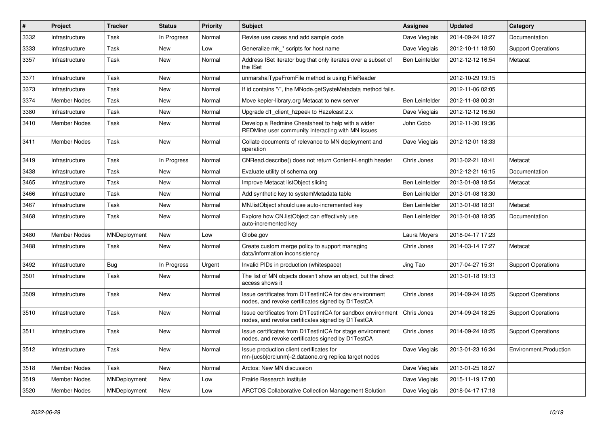| $\vert$ # | Project             | <b>Tracker</b> | <b>Status</b> | <b>Priority</b> | <b>Subject</b>                                                                                                   | Assignee       | <b>Updated</b>   | Category                  |
|-----------|---------------------|----------------|---------------|-----------------|------------------------------------------------------------------------------------------------------------------|----------------|------------------|---------------------------|
| 3332      | Infrastructure      | Task           | In Progress   | Normal          | Revise use cases and add sample code                                                                             | Dave Vieglais  | 2014-09-24 18:27 | Documentation             |
| 3333      | Infrastructure      | Task           | New           | Low             | Generalize mk * scripts for host name                                                                            | Dave Vieglais  | 2012-10-11 18:50 | <b>Support Operations</b> |
| 3357      | Infrastructure      | Task           | New           | Normal          | Address ISet iterator bug that only iterates over a subset of<br>the ISet                                        | Ben Leinfelder | 2012-12-12 16:54 | Metacat                   |
| 3371      | Infrastructure      | Task           | <b>New</b>    | Normal          | unmarshalTypeFromFile method is using FileReader                                                                 |                | 2012-10-29 19:15 |                           |
| 3373      | Infrastructure      | Task           | <b>New</b>    | Normal          | If id contains "/", the MNode.getSysteMetadata method fails.                                                     |                | 2012-11-06 02:05 |                           |
| 3374      | <b>Member Nodes</b> | Task           | New           | Normal          | Move kepler-library.org Metacat to new server                                                                    | Ben Leinfelder | 2012-11-08 00:31 |                           |
| 3380      | Infrastructure      | Task           | New           | Normal          | Upgrade d1_client_hzpeek to Hazelcast 2.x                                                                        | Dave Vieglais  | 2012-12-12 16:50 |                           |
| 3410      | Member Nodes        | Task           | <b>New</b>    | Normal          | Develop a Redmine Cheatsheet to help with a wider<br>REDMine user community interacting with MN issues           | John Cobb      | 2012-11-30 19:36 |                           |
| 3411      | Member Nodes        | Task           | New           | Normal          | Collate documents of relevance to MN deployment and<br>operation                                                 | Dave Vieglais  | 2012-12-01 18:33 |                           |
| 3419      | Infrastructure      | Task           | In Progress   | Normal          | CNRead.describe() does not return Content-Length header                                                          | Chris Jones    | 2013-02-21 18:41 | Metacat                   |
| 3438      | Infrastructure      | Task           | <b>New</b>    | Normal          | Evaluate utility of schema.org                                                                                   |                | 2012-12-21 16:15 | Documentation             |
| 3465      | Infrastructure      | Task           | New           | Normal          | Improve Metacat listObject slicing                                                                               | Ben Leinfelder | 2013-01-08 18:54 | Metacat                   |
| 3466      | Infrastructure      | Task           | New           | Normal          | Add synthetic key to systemMetadata table                                                                        | Ben Leinfelder | 2013-01-08 18:30 |                           |
| 3467      | Infrastructure      | Task           | <b>New</b>    | Normal          | MN.listObject should use auto-incremented key                                                                    | Ben Leinfelder | 2013-01-08 18:31 | Metacat                   |
| 3468      | Infrastructure      | Task           | <b>New</b>    | Normal          | Explore how CN. listObject can effectively use<br>auto-incremented key                                           | Ben Leinfelder | 2013-01-08 18:35 | Documentation             |
| 3480      | <b>Member Nodes</b> | MNDeployment   | <b>New</b>    | Low             | Globe.gov                                                                                                        | Laura Moyers   | 2018-04-17 17:23 |                           |
| 3488      | Infrastructure      | Task           | New           | Normal          | Create custom merge policy to support managing<br>data/information inconsistency                                 | Chris Jones    | 2014-03-14 17:27 | Metacat                   |
| 3492      | Infrastructure      | Bug            | In Progress   | Urgent          | Invalid PIDs in production (whitespace)                                                                          | Jing Tao       | 2017-04-27 15:31 | <b>Support Operations</b> |
| 3501      | Infrastructure      | Task           | New           | Normal          | The list of MN objects doesn't show an object, but the direct<br>access shows it                                 |                | 2013-01-18 19:13 |                           |
| 3509      | Infrastructure      | Task           | <b>New</b>    | Normal          | Issue certificates from D1TestIntCA for dev environment<br>nodes, and revoke certificates signed by D1TestCA     | Chris Jones    | 2014-09-24 18:25 | <b>Support Operations</b> |
| 3510      | Infrastructure      | Task           | <b>New</b>    | Normal          | Issue certificates from D1TestIntCA for sandbox environment<br>nodes, and revoke certificates signed by D1TestCA | Chris Jones    | 2014-09-24 18:25 | <b>Support Operations</b> |
| 3511      | Infrastructure      | Task           | New           | Normal          | Issue certificates from D1TestIntCA for stage environment<br>nodes, and revoke certificates signed by D1TestCA   | Chris Jones    | 2014-09-24 18:25 | <b>Support Operations</b> |
| 3512      | Infrastructure      | Task           | <b>New</b>    | Normal          | Issue production client certificates for<br>mn-{ucsb orc unm}-2.dataone.org replica target nodes                 | Dave Vieglais  | 2013-01-23 16:34 | Environment.Production    |
| 3518      | <b>Member Nodes</b> | Task           | New           | Normal          | Arctos: New MN discussion                                                                                        | Dave Vieglais  | 2013-01-25 18:27 |                           |
| 3519      | <b>Member Nodes</b> | MNDeployment   | New           | Low             | Prairie Research Institute                                                                                       | Dave Vieglais  | 2015-11-19 17:00 |                           |
| 3520      | <b>Member Nodes</b> | MNDeployment   | <b>New</b>    | Low             | <b>ARCTOS Collaborative Collection Management Solution</b>                                                       | Dave Vieglais  | 2018-04-17 17:18 |                           |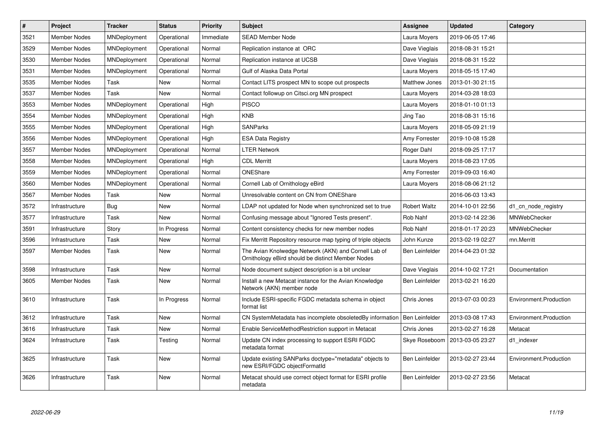| $\vert$ # | Project             | <b>Tracker</b>      | <b>Status</b> | Priority  | <b>Subject</b>                                                                                            | Assignee             | <b>Updated</b>   | Category               |
|-----------|---------------------|---------------------|---------------|-----------|-----------------------------------------------------------------------------------------------------------|----------------------|------------------|------------------------|
| 3521      | <b>Member Nodes</b> | <b>MNDeployment</b> | Operational   | Immediate | <b>SEAD Member Node</b>                                                                                   | Laura Moyers         | 2019-06-05 17:46 |                        |
| 3529      | <b>Member Nodes</b> | MNDeployment        | Operational   | Normal    | Replication instance at ORC                                                                               | Dave Vieglais        | 2018-08-31 15:21 |                        |
| 3530      | Member Nodes        | MNDeployment        | Operational   | Normal    | Replication instance at UCSB                                                                              | Dave Vieglais        | 2018-08-31 15:22 |                        |
| 3531      | <b>Member Nodes</b> | MNDeployment        | Operational   | Normal    | Gulf of Alaska Data Portal                                                                                | Laura Moyers         | 2018-05-15 17:40 |                        |
| 3535      | <b>Member Nodes</b> | Task                | <b>New</b>    | Normal    | Contact LITS prospect MN to scope out prospects                                                           | <b>Matthew Jones</b> | 2013-01-30 21:15 |                        |
| 3537      | Member Nodes        | Task                | New           | Normal    | Contact followup on Citsci.org MN prospect                                                                | Laura Moyers         | 2014-03-28 18:03 |                        |
| 3553      | <b>Member Nodes</b> | MNDeployment        | Operational   | High      | <b>PISCO</b>                                                                                              | Laura Moyers         | 2018-01-10 01:13 |                        |
| 3554      | Member Nodes        | MNDeployment        | Operational   | High      | <b>KNB</b>                                                                                                | Jing Tao             | 2018-08-31 15:16 |                        |
| 3555      | <b>Member Nodes</b> | MNDeployment        | Operational   | High      | <b>SANParks</b>                                                                                           | Laura Moyers         | 2018-05-09 21:19 |                        |
| 3556      | Member Nodes        | MNDeployment        | Operational   | High      | <b>ESA Data Registry</b>                                                                                  | Amy Forrester        | 2019-10-08 15:28 |                        |
| 3557      | <b>Member Nodes</b> | MNDeployment        | Operational   | Normal    | <b>LTER Network</b>                                                                                       | Roger Dahl           | 2018-09-25 17:17 |                        |
| 3558      | <b>Member Nodes</b> | MNDeployment        | Operational   | High      | <b>CDL Merritt</b>                                                                                        | Laura Moyers         | 2018-08-23 17:05 |                        |
| 3559      | Member Nodes        | MNDeployment        | Operational   | Normal    | ONEShare                                                                                                  | Amy Forrester        | 2019-09-03 16:40 |                        |
| 3560      | Member Nodes        | MNDeployment        | Operational   | Normal    | Cornell Lab of Ornithology eBird                                                                          | Laura Moyers         | 2018-08-06 21:12 |                        |
| 3567      | <b>Member Nodes</b> | Task                | <b>New</b>    | Normal    | Unresolvable content on CN from ONEShare                                                                  |                      | 2016-06-03 13:43 |                        |
| 3572      | Infrastructure      | <b>Bug</b>          | <b>New</b>    | Normal    | LDAP not updated for Node when synchronized set to true                                                   | <b>Robert Waltz</b>  | 2014-10-01 22:56 | d1_cn_node_registry    |
| 3577      | Infrastructure      | Task                | New           | Normal    | Confusing message about "Ignored Tests present".                                                          | Rob Nahf             | 2013-02-14 22:36 | MNWebChecker           |
| 3591      | Infrastructure      | Story               | In Progress   | Normal    | Content consistency checks for new member nodes                                                           | Rob Nahf             | 2018-01-17 20:23 | <b>MNWebChecker</b>    |
| 3596      | Infrastructure      | Task                | New           | Normal    | Fix Merritt Repository resource map typing of triple objects                                              | John Kunze           | 2013-02-19 02:27 | mn.Merritt             |
| 3597      | <b>Member Nodes</b> | Task                | New           | Normal    | The Avian Knolwedge Network (AKN) and Cornell Lab of<br>Ornithology eBird should be distinct Member Nodes | Ben Leinfelder       | 2014-04-23 01:32 |                        |
| 3598      | Infrastructure      | Task                | <b>New</b>    | Normal    | Node document subject description is a bit unclear                                                        | Dave Vieglais        | 2014-10-02 17:21 | Documentation          |
| 3605      | Member Nodes        | Task                | New           | Normal    | Install a new Metacat instance for the Avian Knowledge<br>Network (AKN) member node                       | Ben Leinfelder       | 2013-02-21 16:20 |                        |
| 3610      | Infrastructure      | Task                | In Progress   | Normal    | Include ESRI-specific FGDC metadata schema in object<br>format list                                       | Chris Jones          | 2013-07-03 00:23 | Environment.Production |
| 3612      | Infrastructure      | Task                | <b>New</b>    | Normal    | CN SystemMetadata has incomplete obsoletedBy information                                                  | Ben Leinfelder       | 2013-03-08 17:43 | Environment.Production |
| 3616      | Infrastructure      | Task                | New           | Normal    | Enable ServiceMethodRestriction support in Metacat                                                        | Chris Jones          | 2013-02-27 16:28 | Metacat                |
| 3624      | Infrastructure      | Task                | Testing       | Normal    | Update CN index processing to support ESRI FGDC<br>metadata format                                        | Skye Roseboom        | 2013-03-05 23:27 | d1 indexer             |
| 3625      | Infrastructure      | Task                | <b>New</b>    | Normal    | Update existing SANParks doctype="metadata" objects to<br>new ESRI/FGDC objectFormatId                    | Ben Leinfelder       | 2013-02-27 23:44 | Environment.Production |
| 3626      | Infrastructure      | Task                | <b>New</b>    | Normal    | Metacat should use correct object format for ESRI profile<br>metadata                                     | Ben Leinfelder       | 2013-02-27 23:56 | Metacat                |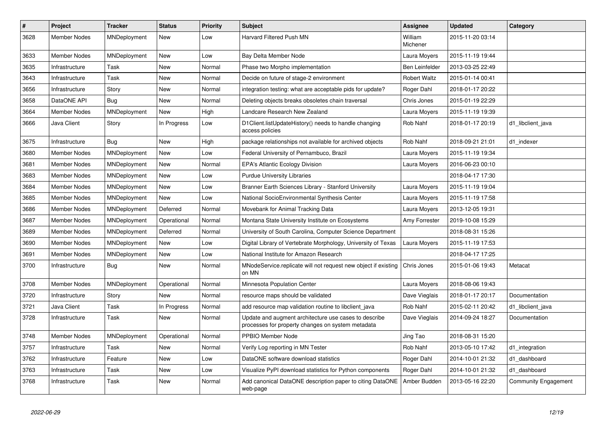| $\vert$ # | <b>Project</b>      | Tracker             | <b>Status</b> | <b>Priority</b> | <b>Subject</b>                                                                                             | Assignee            | <b>Updated</b>   | Category             |
|-----------|---------------------|---------------------|---------------|-----------------|------------------------------------------------------------------------------------------------------------|---------------------|------------------|----------------------|
| 3628      | <b>Member Nodes</b> | MNDeployment        | <b>New</b>    | Low             | <b>Harvard Filtered Push MN</b>                                                                            | William<br>Michener | 2015-11-20 03:14 |                      |
| 3633      | <b>Member Nodes</b> | MNDeployment        | <b>New</b>    | Low             | Bay Delta Member Node                                                                                      | Laura Moyers        | 2015-11-19 19:44 |                      |
| 3635      | Infrastructure      | Task                | New           | Normal          | Phase two Morpho implementation                                                                            | Ben Leinfelder      | 2013-03-25 22:49 |                      |
| 3643      | Infrastructure      | Task                | New           | Normal          | Decide on future of stage-2 environment                                                                    | <b>Robert Waltz</b> | 2015-01-14 00:41 |                      |
| 3656      | Infrastructure      | Story               | New           | Normal          | integration testing: what are acceptable pids for update?                                                  | Roger Dahl          | 2018-01-17 20:22 |                      |
| 3658      | DataONE API         | Bug                 | New           | Normal          | Deleting objects breaks obsoletes chain traversal                                                          | Chris Jones         | 2015-01-19 22:29 |                      |
| 3664      | <b>Member Nodes</b> | <b>MNDeployment</b> | New           | High            | Landcare Research New Zealand                                                                              | Laura Moyers        | 2015-11-19 19:39 |                      |
| 3666      | Java Client         | Story               | In Progress   | Low             | D1Client.listUpdateHistory() needs to handle changing<br>access policies                                   | Rob Nahf            | 2018-01-17 20:19 | d1 libclient java    |
| 3675      | Infrastructure      | Bug                 | New           | High            | package relationships not available for archived objects                                                   | Rob Nahf            | 2018-09-21 21:01 | d1 indexer           |
| 3680      | <b>Member Nodes</b> | MNDeployment        | New           | Low             | Federal University of Pernambuco, Brazil                                                                   | Laura Moyers        | 2015-11-19 19:34 |                      |
| 3681      | <b>Member Nodes</b> | MNDeployment        | New           | Normal          | <b>EPA's Atlantic Ecology Division</b>                                                                     | Laura Moyers        | 2016-06-23 00:10 |                      |
| 3683      | <b>Member Nodes</b> | MNDeployment        | <b>New</b>    | Low             | <b>Purdue University Libraries</b>                                                                         |                     | 2018-04-17 17:30 |                      |
| 3684      | <b>Member Nodes</b> | MNDeployment        | New           | Low             | Branner Earth Sciences Library - Stanford University                                                       | Laura Moyers        | 2015-11-19 19:04 |                      |
| 3685      | <b>Member Nodes</b> | MNDeployment        | <b>New</b>    | Low             | National SocioEnvironmental Synthesis Center                                                               | Laura Moyers        | 2015-11-19 17:58 |                      |
| 3686      | <b>Member Nodes</b> | MNDeployment        | Deferred      | Normal          | Movebank for Animal Tracking Data                                                                          | Laura Moyers        | 2013-12-05 19:31 |                      |
| 3687      | <b>Member Nodes</b> | MNDeployment        | Operational   | Normal          | Montana State University Institute on Ecosystems                                                           | Amy Forrester       | 2019-10-08 15:29 |                      |
| 3689      | <b>Member Nodes</b> | MNDeployment        | Deferred      | Normal          | University of South Carolina, Computer Science Department                                                  |                     | 2018-08-31 15:26 |                      |
| 3690      | <b>Member Nodes</b> | MNDeployment        | <b>New</b>    | Low             | Digital Library of Vertebrate Morphology, University of Texas                                              | Laura Moyers        | 2015-11-19 17:53 |                      |
| 3691      | <b>Member Nodes</b> | MNDeployment        | New           | Low             | National Institute for Amazon Research                                                                     |                     | 2018-04-17 17:25 |                      |
| 3700      | Infrastructure      | Bug                 | New           | Normal          | MNodeService.replicate will not request new object if existing<br>on MN                                    | Chris Jones         | 2015-01-06 19:43 | Metacat              |
| 3708      | <b>Member Nodes</b> | MNDeployment        | Operational   | Normal          | Minnesota Population Center                                                                                | Laura Moyers        | 2018-08-06 19:43 |                      |
| 3720      | Infrastructure      | Story               | New           | Normal          | resource maps should be validated                                                                          | Dave Vieglais       | 2018-01-17 20:17 | Documentation        |
| 3721      | Java Client         | Task                | In Progress   | Normal          | add resource map validation routine to libclient java                                                      | Rob Nahf            | 2015-02-11 20:42 | d1 libclient java    |
| 3728      | Infrastructure      | Task                | New           | Normal          | Update and augment architecture use cases to describe<br>processes for property changes on system metadata | Dave Vieglais       | 2014-09-24 18:27 | Documentation        |
| 3748      | Member Nodes        | MNDeployment        | Operational   | Normal          | PPBIO Member Node                                                                                          | Jing Tao            | 2018-08-31 15:20 |                      |
| 3757      | Infrastructure      | Task                | New           | Normal          | Verify Log reporting in MN Tester                                                                          | Rob Nahf            | 2013-05-10 17:42 | d1_integration       |
| 3762      | Infrastructure      | Feature             | New           | Low             | DataONE software download statistics                                                                       | Roger Dahl          | 2014-10-01 21:32 | d1 dashboard         |
| 3763      | Infrastructure      | Task                | New           | Low             | Visualize PyPI download statistics for Python components                                                   | Roger Dahl          | 2014-10-01 21:32 | d1 dashboard         |
| 3768      | Infrastructure      | Task                | New           | Normal          | Add canonical DataONE description paper to citing DataONE<br>web-page                                      | Amber Budden        | 2013-05-16 22:20 | Community Engagement |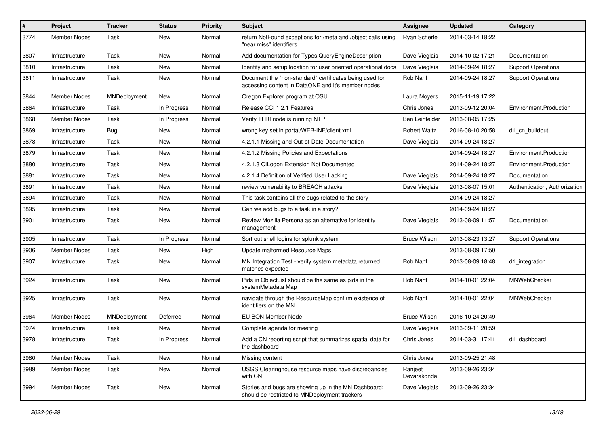| $\pmb{\#}$ | Project             | <b>Tracker</b> | <b>Status</b> | <b>Priority</b> | Subject                                                                                                       | Assignee               | <b>Updated</b>   | Category                      |
|------------|---------------------|----------------|---------------|-----------------|---------------------------------------------------------------------------------------------------------------|------------------------|------------------|-------------------------------|
| 3774       | Member Nodes        | Task           | <b>New</b>    | Normal          | return NotFound exceptions for /meta and /object calls using<br>"near miss" identifiers                       | <b>Ryan Scherle</b>    | 2014-03-14 18:22 |                               |
| 3807       | Infrastructure      | Task           | <b>New</b>    | Normal          | Add documentation for Types.QueryEngineDescription                                                            | Dave Vieglais          | 2014-10-02 17:21 | Documentation                 |
| 3810       | Infrastructure      | Task           | New           | Normal          | Identify and setup location for user oriented operational docs                                                | Dave Vieglais          | 2014-09-24 18:27 | <b>Support Operations</b>     |
| 3811       | Infrastructure      | Task           | New           | Normal          | Document the "non-standard" certificates being used for<br>accessing content in DataONE and it's member nodes | Rob Nahf               | 2014-09-24 18:27 | <b>Support Operations</b>     |
| 3844       | <b>Member Nodes</b> | MNDeployment   | <b>New</b>    | Normal          | Oregon Explorer program at OSU                                                                                | Laura Moyers           | 2015-11-19 17:22 |                               |
| 3864       | Infrastructure      | Task           | In Progress   | Normal          | Release CCI 1.2.1 Features                                                                                    | Chris Jones            | 2013-09-12 20:04 | Environment.Production        |
| 3868       | Member Nodes        | Task           | In Progress   | Normal          | Verify TFRI node is running NTP                                                                               | Ben Leinfelder         | 2013-08-05 17:25 |                               |
| 3869       | Infrastructure      | Bug            | <b>New</b>    | Normal          | wrong key set in portal/WEB-INF/client.xml                                                                    | <b>Robert Waltz</b>    | 2016-08-10 20:58 | d1_cn_buildout                |
| 3878       | Infrastructure      | Task           | New           | Normal          | 4.2.1.1 Missing and Out-of-Date Documentation                                                                 | Dave Vieglais          | 2014-09-24 18:27 |                               |
| 3879       | Infrastructure      | Task           | New           | Normal          | 4.2.1.2 Missing Policies and Expectations                                                                     |                        | 2014-09-24 18:27 | Environment.Production        |
| 3880       | Infrastructure      | Task           | New           | Normal          | 4.2.1.3 CILogon Extension Not Documented                                                                      |                        | 2014-09-24 18:27 | Environment.Production        |
| 3881       | Infrastructure      | Task           | New           | Normal          | 4.2.1.4 Definition of Verified User Lacking                                                                   | Dave Vieglais          | 2014-09-24 18:27 | Documentation                 |
| 3891       | Infrastructure      | Task           | New           | Normal          | review vulnerability to BREACH attacks                                                                        | Dave Vieglais          | 2013-08-07 15:01 | Authentication, Authorization |
| 3894       | Infrastructure      | Task           | New           | Normal          | This task contains all the bugs related to the story                                                          |                        | 2014-09-24 18:27 |                               |
| 3895       | Infrastructure      | Task           | New           | Normal          | Can we add bugs to a task in a story?                                                                         |                        | 2014-09-24 18:27 |                               |
| 3901       | Infrastructure      | Task           | New           | Normal          | Review Mozilla Persona as an alternative for identity<br>management                                           | Dave Vieglais          | 2013-08-09 11:57 | Documentation                 |
| 3905       | Infrastructure      | Task           | In Progress   | Normal          | Sort out shell logins for splunk system                                                                       | <b>Bruce Wilson</b>    | 2013-08-23 13:27 | <b>Support Operations</b>     |
| 3906       | Member Nodes        | Task           | New           | High            | Update malformed Resource Maps                                                                                |                        | 2013-08-09 17:50 |                               |
| 3907       | Infrastructure      | Task           | New           | Normal          | MN Integration Test - verify system metadata returned<br>matches expected                                     | Rob Nahf               | 2013-08-09 18:48 | d1_integration                |
| 3924       | Infrastructure      | Task           | New           | Normal          | Pids in ObjectList should be the same as pids in the<br>systemMetadata Map                                    | Rob Nahf               | 2014-10-01 22:04 | <b>MNWebChecker</b>           |
| 3925       | Infrastructure      | Task           | <b>New</b>    | Normal          | navigate through the ResourceMap confirm existence of<br>identifiers on the MN                                | Rob Nahf               | 2014-10-01 22:04 | MNWebChecker                  |
| 3964       | <b>Member Nodes</b> | MNDeployment   | Deferred      | Normal          | <b>EU BON Member Node</b>                                                                                     | <b>Bruce Wilson</b>    | 2016-10-24 20:49 |                               |
| 3974       | Infrastructure      | Task           | <b>New</b>    | Normal          | Complete agenda for meeting                                                                                   | Dave Vieglais          | 2013-09-11 20:59 |                               |
| 3978       | Infrastructure      | Task           | In Progress   | Normal          | Add a CN reporting script that summarizes spatial data for<br>the dashboard                                   | Chris Jones            | 2014-03-31 17:41 | d1 dashboard                  |
| 3980       | Member Nodes        | Task           | New           | Normal          | Missing content                                                                                               | Chris Jones            | 2013-09-25 21:48 |                               |
| 3989       | <b>Member Nodes</b> | Task           | New           | Normal          | USGS Clearinghouse resource maps have discrepancies<br>with CN                                                | Ranjeet<br>Devarakonda | 2013-09-26 23:34 |                               |
| 3994       | <b>Member Nodes</b> | Task           | New           | Normal          | Stories and bugs are showing up in the MN Dashboard;<br>should be restricted to MNDeployment trackers         | Dave Vieglais          | 2013-09-26 23:34 |                               |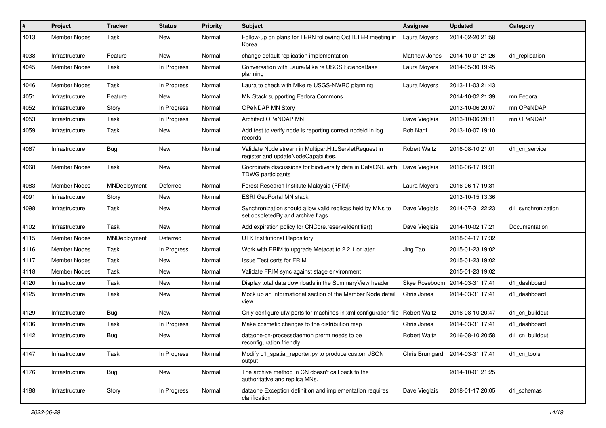| #    | Project             | <b>Tracker</b> | <b>Status</b> | <b>Priority</b> | <b>Subject</b>                                                                                  | Assignee            | <b>Updated</b>   | Category           |
|------|---------------------|----------------|---------------|-----------------|-------------------------------------------------------------------------------------------------|---------------------|------------------|--------------------|
| 4013 | Member Nodes        | Task           | <b>New</b>    | Normal          | Follow-up on plans for TERN following Oct ILTER meeting in<br>Korea                             | Laura Moyers        | 2014-02-20 21:58 |                    |
| 4038 | Infrastructure      | Feature        | New           | Normal          | change default replication implementation                                                       | Matthew Jones       | 2014-10-01 21:26 | d1_replication     |
| 4045 | Member Nodes        | Task           | In Progress   | Normal          | Conversation with Laura/Mike re USGS ScienceBase<br>planning                                    | Laura Moyers        | 2014-05-30 19:45 |                    |
| 4046 | Member Nodes        | Task           | In Progress   | Normal          | Laura to check with Mike re USGS-NWRC planning                                                  | Laura Moyers        | 2013-11-03 21:43 |                    |
| 4051 | Infrastructure      | Feature        | New           | Normal          | MN Stack supporting Fedora Commons                                                              |                     | 2014-10-02 21:39 | mn.Fedora          |
| 4052 | Infrastructure      | Story          | In Progress   | Normal          | <b>OPeNDAP MN Story</b>                                                                         |                     | 2013-10-06 20:07 | mn.OPeNDAP         |
| 4053 | Infrastructure      | Task           | In Progress   | Normal          | Architect OPeNDAP MN                                                                            | Dave Vieglais       | 2013-10-06 20:11 | mn.OPeNDAP         |
| 4059 | Infrastructure      | Task           | New           | Normal          | Add test to verify node is reporting correct nodeld in log<br>records                           | Rob Nahf            | 2013-10-07 19:10 |                    |
| 4067 | Infrastructure      | Bug            | New           | Normal          | Validate Node stream in MultipartHttpServletRequest in<br>register and updateNodeCapabilities.  | Robert Waltz        | 2016-08-10 21:01 | d1 cn service      |
| 4068 | Member Nodes        | Task           | New           | Normal          | Coordinate discussions for biodiversity data in DataONE with<br><b>TDWG</b> participants        | Dave Vieglais       | 2016-06-17 19:31 |                    |
| 4083 | Member Nodes        | MNDeployment   | Deferred      | Normal          | Forest Research Institute Malaysia (FRIM)                                                       | Laura Moyers        | 2016-06-17 19:31 |                    |
| 4091 | Infrastructure      | Story          | New           | Normal          | <b>ESRI GeoPortal MN stack</b>                                                                  |                     | 2013-10-15 13:36 |                    |
| 4098 | Infrastructure      | Task           | New           | Normal          | Synchronization should allow valid replicas held by MNs to<br>set obsoletedBy and archive flags | Dave Vieglais       | 2014-07-31 22:23 | d1 synchronization |
| 4102 | Infrastructure      | Task           | New           | Normal          | Add expiration policy for CNCore.reserveldentifier()                                            | Dave Vieglais       | 2014-10-02 17:21 | Documentation      |
| 4115 | <b>Member Nodes</b> | MNDeployment   | Deferred      | Normal          | <b>UTK Institutional Repository</b>                                                             |                     | 2018-04-17 17:32 |                    |
| 4116 | Member Nodes        | Task           | In Progress   | Normal          | Work with FRIM to upgrade Metacat to 2.2.1 or later                                             | Jing Tao            | 2015-01-23 19:02 |                    |
| 4117 | Member Nodes        | Task           | <b>New</b>    | Normal          | <b>Issue Test certs for FRIM</b>                                                                |                     | 2015-01-23 19:02 |                    |
| 4118 | Member Nodes        | Task           | New           | Normal          | Validate FRIM sync against stage environment                                                    |                     | 2015-01-23 19:02 |                    |
| 4120 | Infrastructure      | Task           | New           | Normal          | Display total data downloads in the Summary View header                                         | Skye Roseboom       | 2014-03-31 17:41 | d1 dashboard       |
| 4125 | Infrastructure      | Task           | New           | Normal          | Mock up an informational section of the Member Node detail<br>view                              | Chris Jones         | 2014-03-31 17:41 | d1 dashboard       |
| 4129 | Infrastructure      | Bug            | New           | Normal          | Only configure ufw ports for machines in xml configuration file                                 | <b>Robert Waltz</b> | 2016-08-10 20:47 | d1 cn buildout     |
| 4136 | Infrastructure      | Task           | In Progress   | Normal          | Make cosmetic changes to the distribution map                                                   | Chris Jones         | 2014-03-31 17:41 | d1 dashboard       |
| 4142 | Infrastructure      | <b>Bug</b>     | New           | Normal          | dataone-cn-processdaemon prerm needs to be<br>reconfiguration friendly                          | <b>Robert Waltz</b> | 2016-08-10 20:58 | d1_cn_buildout     |
| 4147 | Infrastructure      | Task           | In Progress   | Normal          | Modify d1 spatial reporter.py to produce custom JSON<br>output                                  | Chris Brumgard      | 2014-03-31 17:41 | d1 cn tools        |
| 4176 | Infrastructure      | <b>Bug</b>     | New           | Normal          | The archive method in CN doesn't call back to the<br>authoritative and replica MNs.             |                     | 2014-10-01 21:25 |                    |
| 4188 | Infrastructure      | Story          | In Progress   | Normal          | dataone Exception definition and implementation requires<br>clarification                       | Dave Vieglais       | 2018-01-17 20:05 | d1_schemas         |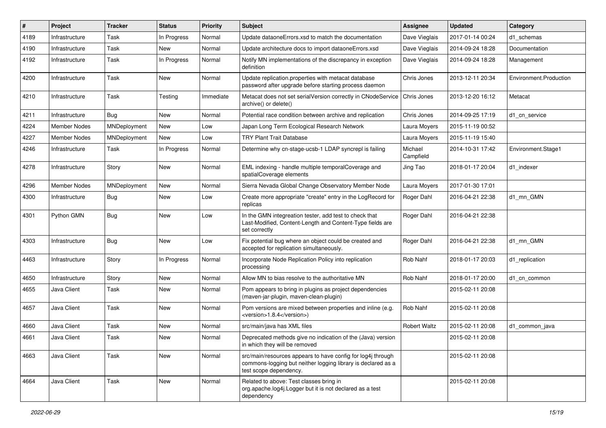| #    | Project             | <b>Tracker</b> | <b>Status</b> | <b>Priority</b> | <b>Subject</b>                                                                                                                                        | <b>Assignee</b>      | <b>Updated</b>   | Category               |
|------|---------------------|----------------|---------------|-----------------|-------------------------------------------------------------------------------------------------------------------------------------------------------|----------------------|------------------|------------------------|
| 4189 | Infrastructure      | Task           | In Progress   | Normal          | Update dataoneErrors.xsd to match the documentation                                                                                                   | Dave Vieglais        | 2017-01-14 00:24 | d1 schemas             |
| 4190 | Infrastructure      | Task           | <b>New</b>    | Normal          | Update architecture docs to import dataoneErrors.xsd                                                                                                  | Dave Vieglais        | 2014-09-24 18:28 | Documentation          |
| 4192 | Infrastructure      | Task           | In Progress   | Normal          | Notify MN implementations of the discrepancy in exception<br>definition                                                                               | Dave Vieglais        | 2014-09-24 18:28 | Management             |
| 4200 | Infrastructure      | Task           | <b>New</b>    | Normal          | Update replication.properties with metacat database<br>password after upgrade before starting process daemon                                          | Chris Jones          | 2013-12-11 20:34 | Environment.Production |
| 4210 | Infrastructure      | Task           | Testing       | Immediate       | Metacat does not set serialVersion correctly in CNodeService<br>archive() or delete()                                                                 | Chris Jones          | 2013-12-20 16:12 | Metacat                |
| 4211 | Infrastructure      | Bug            | New           | Normal          | Potential race condition between archive and replication                                                                                              | Chris Jones          | 2014-09-25 17:19 | d1 cn service          |
| 4224 | <b>Member Nodes</b> | MNDeployment   | <b>New</b>    | Low             | Japan Long Term Ecological Research Network                                                                                                           | Laura Moyers         | 2015-11-19 00:52 |                        |
| 4227 | <b>Member Nodes</b> | MNDeployment   | <b>New</b>    | Low             | <b>TRY Plant Trait Database</b>                                                                                                                       | Laura Moyers         | 2015-11-19 15:40 |                        |
| 4246 | Infrastructure      | Task           | In Progress   | Normal          | Determine why cn-stage-ucsb-1 LDAP syncrepl is failing                                                                                                | Michael<br>Campfield | 2014-10-31 17:42 | Environment.Stage1     |
| 4278 | Infrastructure      | Story          | <b>New</b>    | Normal          | EML indexing - handle multiple temporalCoverage and<br>spatialCoverage elements                                                                       | Jing Tao             | 2018-01-17 20:04 | d1 indexer             |
| 4296 | <b>Member Nodes</b> | MNDeployment   | <b>New</b>    | Normal          | Sierra Nevada Global Change Observatory Member Node                                                                                                   | Laura Moyers         | 2017-01-30 17:01 |                        |
| 4300 | Infrastructure      | <b>Bug</b>     | New           | Low             | Create more appropriate "create" entry in the LogRecord for<br>replicas                                                                               | Roger Dahl           | 2016-04-21 22:38 | d1 mn GMN              |
| 4301 | Python GMN          | Bug            | New           | Low             | In the GMN integreation tester, add test to check that<br>Last-Modified, Content-Length and Content-Type fields are<br>set correctly                  | Roger Dahl           | 2016-04-21 22:38 |                        |
| 4303 | Infrastructure      | Bug            | New           | Low             | Fix potential bug where an object could be created and<br>accepted for replication simultaneously.                                                    | Roger Dahl           | 2016-04-21 22:38 | d1 mn GMN              |
| 4463 | Infrastructure      | Story          | In Progress   | Normal          | Incorporate Node Replication Policy into replication<br>processing                                                                                    | Rob Nahf             | 2018-01-17 20:03 | d1_replication         |
| 4650 | Infrastructure      | Story          | New           | Normal          | Allow MN to bias resolve to the authoritative MN                                                                                                      | Rob Nahf             | 2018-01-17 20:00 | d1 cn common           |
| 4655 | Java Client         | Task           | New           | Normal          | Pom appears to bring in plugins as project dependencies<br>(maven-jar-plugin, maven-clean-plugin)                                                     |                      | 2015-02-11 20:08 |                        |
| 4657 | Java Client         | Task           | <b>New</b>    | Normal          | Pom versions are mixed between properties and inline (e.g.<br><version>1.8.4</version> )                                                              | Rob Nahf             | 2015-02-11 20:08 |                        |
| 4660 | Java Client         | Task           | <b>New</b>    | Normal          | src/main/java has XML files                                                                                                                           | <b>Robert Waltz</b>  | 2015-02-11 20:08 | d1 common java         |
| 4661 | Java Client         | Task           | New           | Normal          | Deprecated methods give no indication of the (Java) version<br>in which they will be removed                                                          |                      | 2015-02-11 20:08 |                        |
| 4663 | Java Client         | Task           | New           | Normal          | src/main/resources appears to have config for log4j through<br>commons-logging but neither logging library is declared as a<br>test scope dependency. |                      | 2015-02-11 20:08 |                        |
| 4664 | Java Client         | Task           | New           | Normal          | Related to above: Test classes bring in<br>org.apache.log4j.Logger but it is not declared as a test<br>dependency                                     |                      | 2015-02-11 20:08 |                        |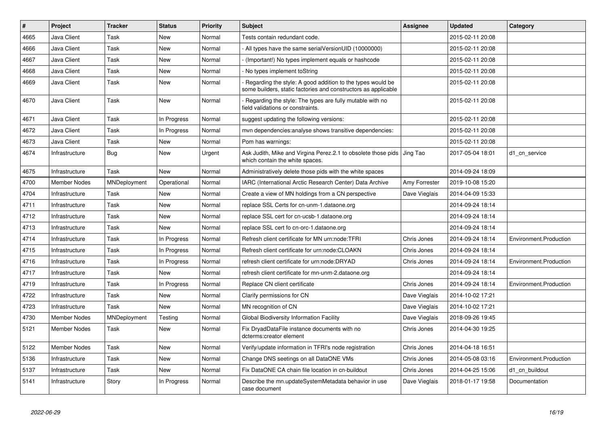| $\#$ | Project             | <b>Tracker</b> | <b>Status</b> | <b>Priority</b> | <b>Subject</b>                                                                                                               | <b>Assignee</b> | <b>Updated</b>   | Category               |
|------|---------------------|----------------|---------------|-----------------|------------------------------------------------------------------------------------------------------------------------------|-----------------|------------------|------------------------|
| 4665 | Java Client         | Task           | New           | Normal          | Tests contain redundant code.                                                                                                |                 | 2015-02-11 20:08 |                        |
| 4666 | Java Client         | Task           | New           | Normal          | All types have the same serialVersionUID (10000000)                                                                          |                 | 2015-02-11 20:08 |                        |
| 4667 | Java Client         | Task           | New           | Normal          | (Important!) No types implement equals or hashcode                                                                           |                 | 2015-02-11 20:08 |                        |
| 4668 | Java Client         | Task           | New           | Normal          | No types implement toString                                                                                                  |                 | 2015-02-11 20:08 |                        |
| 4669 | Java Client         | Task           | New           | Normal          | Regarding the style: A good addition to the types would be<br>some builders, static factories and constructors as applicable |                 | 2015-02-11 20:08 |                        |
| 4670 | Java Client         | Task           | New           | Normal          | Regarding the style: The types are fully mutable with no<br>field validations or constraints.                                |                 | 2015-02-11 20:08 |                        |
| 4671 | Java Client         | Task           | In Progress   | Normal          | suggest updating the following versions:                                                                                     |                 | 2015-02-11 20:08 |                        |
| 4672 | Java Client         | Task           | In Progress   | Normal          | mvn dependencies: analyse shows transitive dependencies:                                                                     |                 | 2015-02-11 20:08 |                        |
| 4673 | Java Client         | Task           | New           | Normal          | Pom has warnings:                                                                                                            |                 | 2015-02-11 20:08 |                        |
| 4674 | Infrastructure      | Bug            | <b>New</b>    | Urgent          | Ask Judith, Mike and Virgina Perez.2.1 to obsolete those pids<br>which contain the white spaces.                             | Jing Tao        | 2017-05-04 18:01 | d1_cn_service          |
| 4675 | Infrastructure      | Task           | New           | Normal          | Administratively delete those pids with the white spaces                                                                     |                 | 2014-09-24 18:09 |                        |
| 4700 | <b>Member Nodes</b> | MNDeployment   | Operational   | Normal          | IARC (International Arctic Research Center) Data Archive                                                                     | Amy Forrester   | 2019-10-08 15:20 |                        |
| 4704 | Infrastructure      | Task           | New           | Normal          | Create a view of MN holdings from a CN perspective                                                                           | Dave Vieglais   | 2014-04-09 15:33 |                        |
| 4711 | Infrastructure      | Task           | <b>New</b>    | Normal          | replace SSL Certs for cn-unm-1.dataone.org                                                                                   |                 | 2014-09-24 18:14 |                        |
| 4712 | Infrastructure      | Task           | <b>New</b>    | Normal          | replace SSL cert for cn-ucsb-1.dataone.org                                                                                   |                 | 2014-09-24 18:14 |                        |
| 4713 | Infrastructure      | Task           | New           | Normal          | replace SSL cert fo cn-orc-1.dataone.org                                                                                     |                 | 2014-09-24 18:14 |                        |
| 4714 | Infrastructure      | Task           | In Progress   | Normal          | Refresh client certificate for MN urn:node:TFRI                                                                              | Chris Jones     | 2014-09-24 18:14 | Environment.Production |
| 4715 | Infrastructure      | Task           | In Progress   | Normal          | Refresh client certificate for urn:node:CLOAKN                                                                               | Chris Jones     | 2014-09-24 18:14 |                        |
| 4716 | Infrastructure      | Task           | In Progress   | Normal          | refresh client certificate for urn:node:DRYAD                                                                                | Chris Jones     | 2014-09-24 18:14 | Environment.Production |
| 4717 | Infrastructure      | Task           | <b>New</b>    | Normal          | refresh client certificate for mn-unm-2.dataone.org                                                                          |                 | 2014-09-24 18:14 |                        |
| 4719 | Infrastructure      | Task           | In Progress   | Normal          | Replace CN client certificate                                                                                                | Chris Jones     | 2014-09-24 18:14 | Environment.Production |
| 4722 | Infrastructure      | Task           | <b>New</b>    | Normal          | Clarify permissions for CN                                                                                                   | Dave Vieglais   | 2014-10-02 17:21 |                        |
| 4723 | Infrastructure      | Task           | <b>New</b>    | Normal          | MN recognition of CN                                                                                                         | Dave Vieglais   | 2014-10-02 17:21 |                        |
| 4730 | Member Nodes        | MNDeployment   | Testing       | Normal          | Global Biodiversity Information Facility                                                                                     | Dave Vieglais   | 2018-09-26 19:45 |                        |
| 5121 | Member Nodes        | Task           | New           | Normal          | Fix DryadDataFile instance documents with no<br>dcterms:creator element                                                      | Chris Jones     | 2014-04-30 19:25 |                        |
| 5122 | <b>Member Nodes</b> | Task           | New           | Normal          | Verify/update information in TFRI's node registration                                                                        | Chris Jones     | 2014-04-18 16:51 |                        |
| 5136 | Infrastructure      | Task           | New           | Normal          | Change DNS seetings on all DataONE VMs                                                                                       | Chris Jones     | 2014-05-08 03:16 | Environment.Production |
| 5137 | Infrastructure      | Task           | New           | Normal          | Fix DataONE CA chain file location in cn-buildout                                                                            | Chris Jones     | 2014-04-25 15:06 | d1 cn buildout         |
| 5141 | Infrastructure      | Story          | In Progress   | Normal          | Describe the mn.updateSystemMetadata behavior in use<br>case document                                                        | Dave Vieglais   | 2018-01-17 19:58 | Documentation          |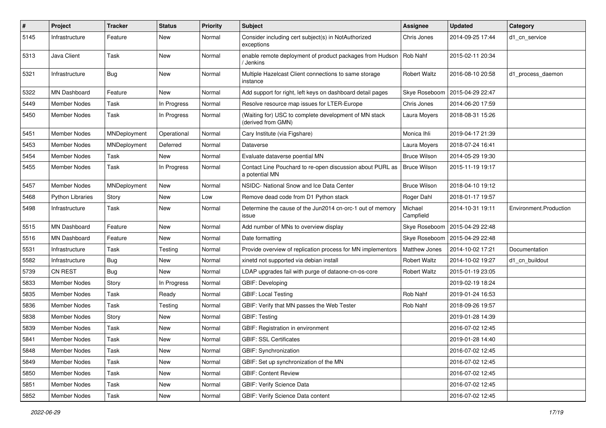| $\sharp$ | Project                 | <b>Tracker</b> | <b>Status</b> | <b>Priority</b> | Subject                                                                     | <b>Assignee</b>      | <b>Updated</b>   | Category               |
|----------|-------------------------|----------------|---------------|-----------------|-----------------------------------------------------------------------------|----------------------|------------------|------------------------|
| 5145     | Infrastructure          | Feature        | New           | Normal          | Consider including cert subject(s) in NotAuthorized<br>exceptions           | Chris Jones          | 2014-09-25 17:44 | d1 cn service          |
| 5313     | Java Client             | Task           | New           | Normal          | enable remote deployment of product packages from Hudson<br>/ Jenkins       | Rob Nahf             | 2015-02-11 20:34 |                        |
| 5321     | Infrastructure          | Bug            | New           | Normal          | Multiple Hazelcast Client connections to same storage<br>instance           | Robert Waltz         | 2016-08-10 20:58 | d1_process_daemon      |
| 5322     | MN Dashboard            | Feature        | <b>New</b>    | Normal          | Add support for right, left keys on dashboard detail pages                  | Skye Roseboom        | 2015-04-29 22:47 |                        |
| 5449     | <b>Member Nodes</b>     | Task           | In Progress   | Normal          | Resolve resource map issues for LTER-Europe                                 | Chris Jones          | 2014-06-20 17:59 |                        |
| 5450     | Member Nodes            | Task           | In Progress   | Normal          | (Waiting for) USC to complete development of MN stack<br>(derived from GMN) | Laura Moyers         | 2018-08-31 15:26 |                        |
| 5451     | Member Nodes            | MNDeployment   | Operational   | Normal          | Cary Institute (via Figshare)                                               | Monica Ihli          | 2019-04-17 21:39 |                        |
| 5453     | <b>Member Nodes</b>     | MNDeployment   | Deferred      | Normal          | Dataverse                                                                   | Laura Moyers         | 2018-07-24 16:41 |                        |
| 5454     | Member Nodes            | Task           | <b>New</b>    | Normal          | Evaluate dataverse poential MN                                              | <b>Bruce Wilson</b>  | 2014-05-29 19:30 |                        |
| 5455     | Member Nodes            | Task           | In Progress   | Normal          | Contact Line Pouchard to re-open discussion about PURL as<br>a potential MN | <b>Bruce Wilson</b>  | 2015-11-19 19:17 |                        |
| 5457     | Member Nodes            | MNDeployment   | New           | Normal          | NSIDC- National Snow and Ice Data Center                                    | <b>Bruce Wilson</b>  | 2018-04-10 19:12 |                        |
| 5468     | <b>Python Libraries</b> | Story          | New           | Low             | Remove dead code from D1 Python stack                                       | Roger Dahl           | 2018-01-17 19:57 |                        |
| 5498     | Infrastructure          | Task           | New           | Normal          | Determine the cause of the Jun2014 cn-orc-1 out of memory<br>issue          | Michael<br>Campfield | 2014-10-31 19:11 | Environment.Production |
| 5515     | MN Dashboard            | Feature        | New           | Normal          | Add number of MNs to overview display                                       | Skye Roseboom        | 2015-04-29 22:48 |                        |
| 5516     | MN Dashboard            | Feature        | <b>New</b>    | Normal          | Date formatting                                                             | Skye Roseboom        | 2015-04-29 22:48 |                        |
| 5531     | Infrastructure          | Task           | Testing       | Normal          | Provide overview of replication process for MN implementors                 | Matthew Jones        | 2014-10-02 17:21 | Documentation          |
| 5582     | Infrastructure          | <b>Bug</b>     | New           | Normal          | xinetd not supported via debian install                                     | <b>Robert Waltz</b>  | 2014-10-02 19:27 | d1 cn buildout         |
| 5739     | <b>CN REST</b>          | Bug            | New           | Normal          | LDAP upgrades fail with purge of dataone-cn-os-core                         | <b>Robert Waltz</b>  | 2015-01-19 23:05 |                        |
| 5833     | Member Nodes            | Story          | In Progress   | Normal          | GBIF: Developing                                                            |                      | 2019-02-19 18:24 |                        |
| 5835     | <b>Member Nodes</b>     | Task           | Ready         | Normal          | <b>GBIF: Local Testing</b>                                                  | Rob Nahf             | 2019-01-24 16:53 |                        |
| 5836     | Member Nodes            | Task           | Testing       | Normal          | GBIF: Verify that MN passes the Web Tester                                  | Rob Nahf             | 2018-09-26 19:57 |                        |
| 5838     | <b>Member Nodes</b>     | Story          | New           | Normal          | <b>GBIF: Testing</b>                                                        |                      | 2019-01-28 14:39 |                        |
| 5839     | Member Nodes            | Task           | New           | Normal          | GBIF: Registration in environment                                           |                      | 2016-07-02 12:45 |                        |
| 5841     | <b>Member Nodes</b>     | Task           | New           | Normal          | <b>GBIF: SSL Certificates</b>                                               |                      | 2019-01-28 14:40 |                        |
| 5848     | Member Nodes            | Task           | New           | Normal          | GBIF: Synchronization                                                       |                      | 2016-07-02 12:45 |                        |
| 5849     | Member Nodes            | Task           | New           | Normal          | GBIF: Set up synchronization of the MN                                      |                      | 2016-07-02 12:45 |                        |
| 5850     | Member Nodes            | Task           | New           | Normal          | <b>GBIF: Content Review</b>                                                 |                      | 2016-07-02 12:45 |                        |
| 5851     | Member Nodes            | Task           | New           | Normal          | <b>GBIF: Verify Science Data</b>                                            |                      | 2016-07-02 12:45 |                        |
| 5852     | Member Nodes            | Task           | New           | Normal          | GBIF: Verify Science Data content                                           |                      | 2016-07-02 12:45 |                        |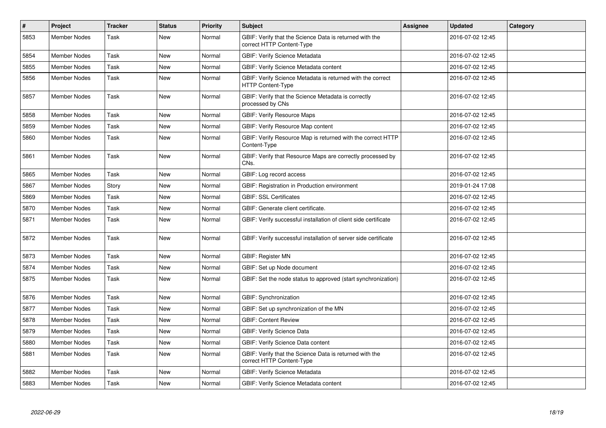| $\vert$ # | Project             | <b>Tracker</b> | <b>Status</b> | <b>Priority</b> | Subject                                                                                | <b>Assignee</b> | <b>Updated</b>   | Category |
|-----------|---------------------|----------------|---------------|-----------------|----------------------------------------------------------------------------------------|-----------------|------------------|----------|
| 5853      | <b>Member Nodes</b> | Task           | <b>New</b>    | Normal          | GBIF: Verify that the Science Data is returned with the<br>correct HTTP Content-Type   |                 | 2016-07-02 12:45 |          |
| 5854      | <b>Member Nodes</b> | Task           | <b>New</b>    | Normal          | GBIF: Verify Science Metadata                                                          |                 | 2016-07-02 12:45 |          |
| 5855      | <b>Member Nodes</b> | Task           | <b>New</b>    | Normal          | <b>GBIF: Verify Science Metadata content</b>                                           |                 | 2016-07-02 12:45 |          |
| 5856      | <b>Member Nodes</b> | Task           | New           | Normal          | GBIF: Verify Science Metadata is returned with the correct<br><b>HTTP Content-Type</b> |                 | 2016-07-02 12:45 |          |
| 5857      | <b>Member Nodes</b> | Task           | <b>New</b>    | Normal          | GBIF: Verify that the Science Metadata is correctly<br>processed by CNs                |                 | 2016-07-02 12:45 |          |
| 5858      | <b>Member Nodes</b> | Task           | <b>New</b>    | Normal          | <b>GBIF: Verify Resource Maps</b>                                                      |                 | 2016-07-02 12:45 |          |
| 5859      | <b>Member Nodes</b> | Task           | <b>New</b>    | Normal          | GBIF: Verify Resource Map content                                                      |                 | 2016-07-02 12:45 |          |
| 5860      | <b>Member Nodes</b> | Task           | <b>New</b>    | Normal          | GBIF: Verify Resource Map is returned with the correct HTTP<br>Content-Type            |                 | 2016-07-02 12:45 |          |
| 5861      | <b>Member Nodes</b> | Task           | <b>New</b>    | Normal          | GBIF: Verify that Resource Maps are correctly processed by<br>CNs.                     |                 | 2016-07-02 12:45 |          |
| 5865      | <b>Member Nodes</b> | Task           | <b>New</b>    | Normal          | GBIF: Log record access                                                                |                 | 2016-07-02 12:45 |          |
| 5867      | <b>Member Nodes</b> | Story          | <b>New</b>    | Normal          | GBIF: Registration in Production environment                                           |                 | 2019-01-24 17:08 |          |
| 5869      | <b>Member Nodes</b> | Task           | <b>New</b>    | Normal          | <b>GBIF: SSL Certificates</b>                                                          |                 | 2016-07-02 12:45 |          |
| 5870      | <b>Member Nodes</b> | Task           | <b>New</b>    | Normal          | GBIF: Generate client certificate.                                                     |                 | 2016-07-02 12:45 |          |
| 5871      | Member Nodes        | Task           | New           | Normal          | GBIF: Verify successful installation of client side certificate                        |                 | 2016-07-02 12:45 |          |
| 5872      | Member Nodes        | Task           | New           | Normal          | GBIF: Verify successful installation of server side certificate                        |                 | 2016-07-02 12:45 |          |
| 5873      | <b>Member Nodes</b> | Task           | <b>New</b>    | Normal          | <b>GBIF: Register MN</b>                                                               |                 | 2016-07-02 12:45 |          |
| 5874      | <b>Member Nodes</b> | Task           | New           | Normal          | GBIF: Set up Node document                                                             |                 | 2016-07-02 12:45 |          |
| 5875      | Member Nodes        | Task           | New           | Normal          | GBIF: Set the node status to approved (start synchronization)                          |                 | 2016-07-02 12:45 |          |
| 5876      | <b>Member Nodes</b> | Task           | <b>New</b>    | Normal          | GBIF: Synchronization                                                                  |                 | 2016-07-02 12:45 |          |
| 5877      | Member Nodes        | Task           | New           | Normal          | GBIF: Set up synchronization of the MN                                                 |                 | 2016-07-02 12:45 |          |
| 5878      | <b>Member Nodes</b> | Task           | <b>New</b>    | Normal          | <b>GBIF: Content Review</b>                                                            |                 | 2016-07-02 12:45 |          |
| 5879      | <b>Member Nodes</b> | Task           | <b>New</b>    | Normal          | GBIF: Verify Science Data                                                              |                 | 2016-07-02 12:45 |          |
| 5880      | <b>Member Nodes</b> | Task           | <b>New</b>    | Normal          | <b>GBIF: Verify Science Data content</b>                                               |                 | 2016-07-02 12:45 |          |
| 5881      | Member Nodes        | Task           | <b>New</b>    | Normal          | GBIF: Verify that the Science Data is returned with the<br>correct HTTP Content-Type   |                 | 2016-07-02 12:45 |          |
| 5882      | <b>Member Nodes</b> | Task           | <b>New</b>    | Normal          | GBIF: Verify Science Metadata                                                          |                 | 2016-07-02 12:45 |          |
| 5883      | Member Nodes        | Task           | <b>New</b>    | Normal          | GBIF: Verify Science Metadata content                                                  |                 | 2016-07-02 12:45 |          |